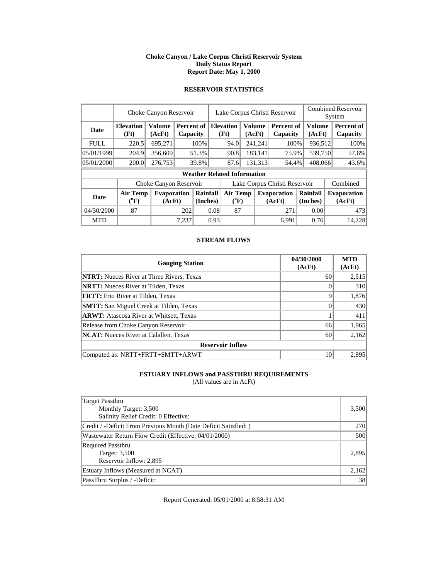#### **Choke Canyon / Lake Corpus Christi Reservoir System Daily Status Report Report Date: May 1, 2000**

### **RESERVOIR STATISTICS**

|             | Choke Canyon Reservoir                |                              |       |                                         |                               | Lake Corpus Christi Reservoir      |  |                  |                              |  |                         | <b>Combined Reservoir</b><br>System |                              |  |
|-------------|---------------------------------------|------------------------------|-------|-----------------------------------------|-------------------------------|------------------------------------|--|------------------|------------------------------|--|-------------------------|-------------------------------------|------------------------------|--|
| Date        | <b>Elevation</b><br>(Ft)              | <b>Volume</b><br>(AcFt)      |       | <b>Percent of Elevation</b><br>Capacity |                               | (Ft)                               |  | Volume<br>(AcFt) | Percent of<br>Capacity       |  | <b>Volume</b><br>(AcFt) |                                     | Percent of<br>Capacity       |  |
| <b>FULL</b> | 220.5                                 | 695,271                      |       | 100%                                    |                               | 94.0                               |  | 241,241          | 100%                         |  | 936,512                 |                                     | 100%                         |  |
| 05/01/1999  | 204.9                                 | 356,609                      |       | 51.3%                                   |                               | 90.8                               |  | 183,141          | 75.9%                        |  | 539,750                 |                                     | 57.6%                        |  |
| 05/01/2000  | 200.0                                 | 276,753                      |       | 39.8%                                   |                               | 87.6                               |  | 131,313          | 54.4%                        |  | 408,066                 |                                     | 43.6%                        |  |
|             |                                       |                              |       |                                         |                               | <b>Weather Related Information</b> |  |                  |                              |  |                         |                                     |                              |  |
|             |                                       | Choke Canyon Reservoir       |       |                                         | Lake Corpus Christi Reservoir |                                    |  |                  |                              |  |                         |                                     | Combined                     |  |
| Date        | <b>Air Temp</b><br>$(^{0}\mathrm{F})$ | <b>Evaporation</b><br>(AcFt) |       | Rainfall<br>(Inches)                    |                               | <b>Air Temp</b><br>$(^{0}F)$       |  |                  | <b>Evaporation</b><br>(AcFt) |  | Rainfall<br>(Inches)    |                                     | <b>Evaporation</b><br>(AcFt) |  |
| 04/30/2000  | 87                                    |                              | 202   | 0.08                                    |                               | 87                                 |  |                  | 271                          |  | 0.00                    |                                     | 473                          |  |
| <b>MTD</b>  |                                       |                              | 7.237 |                                         | 0.93                          |                                    |  |                  | 6.991                        |  | 0.76                    |                                     | 14,228                       |  |

### **STREAM FLOWS**

| <b>Gauging Station</b>                           | 04/30/2000<br>(AcFt) | <b>MTD</b><br>(AcFt) |
|--------------------------------------------------|----------------------|----------------------|
| <b>NTRT:</b> Nueces River at Three Rivers, Texas | 60                   | 2,515                |
| <b>NRTT:</b> Nueces River at Tilden, Texas       |                      | 310                  |
| <b>FRTT:</b> Frio River at Tilden, Texas         |                      | 1,876                |
| <b>SMTT:</b> San Miguel Creek at Tilden, Texas   |                      | 430                  |
| <b>ARWT:</b> Atascosa River at Whitsett, Texas   |                      | 411                  |
| Release from Choke Canyon Reservoir              | 66                   | 1,965                |
| <b>NCAT:</b> Nueces River at Calallen, Texas     | 60                   | 2,162                |
| <b>Reservoir Inflow</b>                          |                      |                      |
| Computed as: NRTT+FRTT+SMTT+ARWT                 | 10                   | 2,895                |

# **ESTUARY INFLOWS and PASSTHRU REQUIREMENTS**

(All values are in AcFt)

| Target Passthru<br>Monthly Target: 3,500<br>Salinity Relief Credit: 0 Effective: | 3,500      |
|----------------------------------------------------------------------------------|------------|
| Credit / -Deficit From Previous Month (Date Deficit Satisfied:)                  | <b>270</b> |
| Wastewater Return Flow Credit (Effective: 04/01/2000)                            | 500        |
| <b>Required Passthru</b><br>Target: 3,500<br>Reservoir Inflow: 2,895             | 2,895      |
| Estuary Inflows (Measured at NCAT)                                               | 2,162      |
| PassThru Surplus / -Deficit:                                                     | 38         |

Report Generated: 05/01/2000 at 8:58:31 AM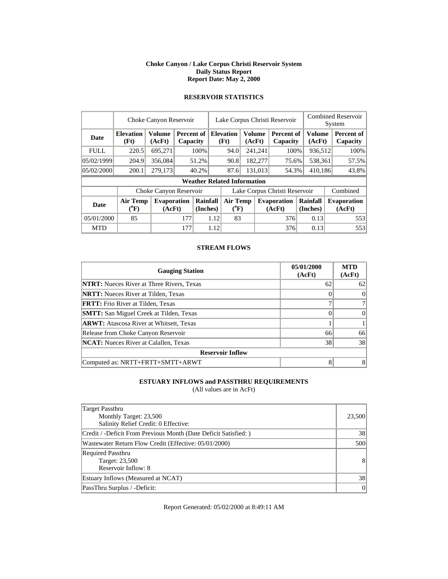#### **Choke Canyon / Lake Corpus Christi Reservoir System Daily Status Report Report Date: May 2, 2000**

|             | Choke Canyon Reservoir         |                        |            |          |                               | Lake Corpus Christi Reservoir         |        |               |                    | <b>Combined Reservoir</b> |         |        |                    |
|-------------|--------------------------------|------------------------|------------|----------|-------------------------------|---------------------------------------|--------|---------------|--------------------|---------------------------|---------|--------|--------------------|
|             |                                |                        |            |          |                               |                                       |        |               |                    |                           |         | System |                    |
| <b>Date</b> | <b>Elevation</b>               | <b>Volume</b>          | Percent of |          |                               | <b>Elevation</b>                      |        | <b>Volume</b> | Percent of         |                           | Volume  |        | <b>Percent of</b>  |
|             | (Ft)                           | (AcFt)                 | Capacity   |          |                               | (Ft)                                  | (AcFt) |               | Capacity           |                           | (AcFt)  |        | Capacity           |
| <b>FULL</b> | 220.5                          | 695,271                |            | 100%     |                               | 94.0                                  |        | 241,241       | 100%               |                           | 936,512 |        | 100%               |
| 05/02/1999  | 204.9                          | 356,084                |            | 51.2%    | 90.8                          |                                       |        | 182,277       | 75.6%              | 538.361                   |         |        | 57.5%              |
| 05/02/2000  | 200.1                          | 279,173                |            | 40.2%    |                               | 87.6                                  |        | 131,013       | 54.3%              | 410,186                   |         |        | 43.8%              |
|             |                                |                        |            |          |                               | <b>Weather Related Information</b>    |        |               |                    |                           |         |        |                    |
|             |                                | Choke Canyon Reservoir |            |          | Lake Corpus Christi Reservoir |                                       |        |               |                    |                           |         |        | Combined           |
| <b>Date</b> | Air Temp<br>$({}^0\mathrm{F})$ | <b>Evaporation</b>     |            | Rainfall |                               | <b>Air Temp</b><br>$({}^0\mathrm{F})$ |        |               | <b>Evaporation</b> | Rainfall                  |         |        | <b>Evaporation</b> |
|             |                                | (AcFt)                 |            | (Inches) |                               |                                       |        |               | (AcFt)             | (Inches)                  |         |        | (AcFt)             |
| 05/01/2000  | 85                             |                        | 177        | 1.12     |                               | 83                                    |        |               | 376                |                           | 0.13    |        | 553                |
| <b>MTD</b>  |                                |                        | 177        |          | 1.12                          |                                       |        |               | 376                |                           | 0.13    |        | 553                |

# **RESERVOIR STATISTICS**

### **STREAM FLOWS**

| <b>Gauging Station</b>                           | 05/01/2000<br>(AcFt) | <b>MTD</b><br>(AcFt) |
|--------------------------------------------------|----------------------|----------------------|
| <b>NTRT:</b> Nueces River at Three Rivers, Texas | 62                   | 62                   |
| <b>NRTT:</b> Nueces River at Tilden, Texas       |                      |                      |
| <b>FRTT:</b> Frio River at Tilden, Texas         |                      |                      |
| <b>SMTT:</b> San Miguel Creek at Tilden, Texas   |                      | 0                    |
| <b>ARWT:</b> Atascosa River at Whitsett, Texas   |                      |                      |
| Release from Choke Canyon Reservoir              | 66                   | 66                   |
| <b>NCAT:</b> Nueces River at Calallen, Texas     | 38                   | 38                   |
| <b>Reservoir Inflow</b>                          |                      |                      |
| Computed as: NRTT+FRTT+SMTT+ARWT                 |                      | 8                    |

### **ESTUARY INFLOWS and PASSTHRU REQUIREMENTS**

(All values are in AcFt)

| Target Passthru<br>Monthly Target: 23,500                         | 23,500         |
|-------------------------------------------------------------------|----------------|
| Salinity Relief Credit: 0 Effective:                              |                |
| Credit / -Deficit From Previous Month (Date Deficit Satisfied: )  | 38             |
| Wastewater Return Flow Credit (Effective: 05/01/2000)             | 500            |
| <b>Required Passthru</b><br>Target: 23,500<br>Reservoir Inflow: 8 | 8              |
| Estuary Inflows (Measured at NCAT)                                | 38             |
| PassThru Surplus / -Deficit:                                      | $\overline{0}$ |

Report Generated: 05/02/2000 at 8:49:11 AM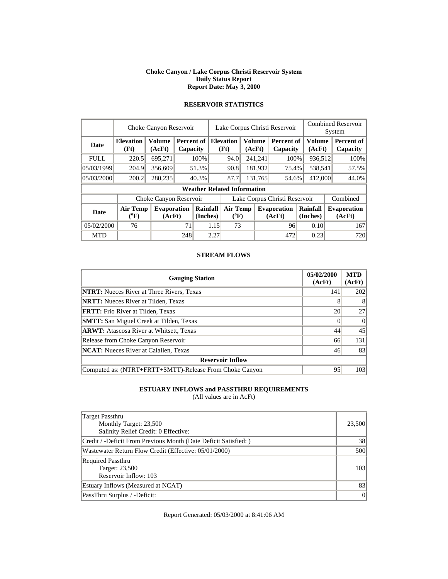#### **Choke Canyon / Lake Corpus Christi Reservoir System Daily Status Report Report Date: May 3, 2000**

|             | Choke Canyon Reservoir       |                              |     |                        |                               | Lake Corpus Christi Reservoir      |         |                         |                              |                      |                  | <b>Combined Reservoir</b><br>System |
|-------------|------------------------------|------------------------------|-----|------------------------|-------------------------------|------------------------------------|---------|-------------------------|------------------------------|----------------------|------------------|-------------------------------------|
| Date        | <b>Elevation</b><br>(Ft)     | <b>Volume</b><br>(AcFt)      |     | Percent of<br>Capacity |                               | <b>Elevation</b><br>(Ft)           |         | <b>Volume</b><br>(AcFt) | Percent of<br>Capacity       |                      | Volume<br>(AcFt) | Percent of<br>Capacity              |
| <b>FULL</b> | 220.5                        | 695,271                      |     | 100%                   |                               | 94.0                               |         | 241,241                 | 100%                         |                      | 936,512          | 100%                                |
| 05/03/1999  | 204.9                        | 356,609                      |     | 51.3%                  |                               | 90.8                               |         | 181,932                 | 75.4%                        |                      | 538,541          | 57.5%                               |
| 05/03/2000  | 200.2                        | 280,235                      |     | 40.3%                  |                               | 87.7                               | 131,765 |                         | 54.6%                        | 412,000              |                  | 44.0%                               |
|             |                              |                              |     |                        |                               | <b>Weather Related Information</b> |         |                         |                              |                      |                  |                                     |
|             |                              | Choke Canyon Reservoir       |     |                        | Lake Corpus Christi Reservoir |                                    |         |                         |                              |                      |                  | Combined                            |
| <b>Date</b> | <b>Air Temp</b><br>$(^{0}F)$ | <b>Evaporation</b><br>(AcFt) |     | Rainfall<br>(Inches)   |                               | <b>Air Temp</b><br>$(^{0}F)$       |         |                         | <b>Evaporation</b><br>(AcFt) | Rainfall<br>(Inches) |                  | <b>Evaporation</b><br>(AcFt)        |
| 05/02/2000  | 76                           |                              | 71  | 1.15                   |                               |                                    | 73      |                         | 96                           | 0.10                 |                  | 167                                 |
| <b>MTD</b>  |                              |                              | 248 |                        | 2.27                          |                                    |         |                         | 472                          | 0.23                 |                  | 720                                 |

# **RESERVOIR STATISTICS**

#### **STREAM FLOWS**

| <b>Gauging Station</b>                                  | 05/02/2000<br>(AcFt) | <b>MTD</b><br>(AcFt) |
|---------------------------------------------------------|----------------------|----------------------|
| <b>NTRT:</b> Nueces River at Three Rivers, Texas        | 141                  | 202                  |
| <b>NRTT:</b> Nueces River at Tilden, Texas              |                      | 8                    |
| <b>FRTT:</b> Frio River at Tilden, Texas                | 20                   | 27                   |
| <b>SMTT:</b> San Miguel Creek at Tilden, Texas          |                      | $\Omega$             |
| <b>ARWT:</b> Atascosa River at Whitsett, Texas          | 44                   | 45                   |
| Release from Choke Canyon Reservoir                     | 66                   | 131                  |
| <b>NCAT:</b> Nueces River at Calallen, Texas            | 46                   | 83                   |
| <b>Reservoir Inflow</b>                                 |                      |                      |
| Computed as: (NTRT+FRTT+SMTT)-Release From Choke Canyon | 95                   | 103                  |

### **ESTUARY INFLOWS and PASSTHRU REQUIREMENTS**

(All values are in AcFt)

| Target Passthru<br>Monthly Target: 23,500<br>Salinity Relief Credit: 0 Effective: | 23,500 |
|-----------------------------------------------------------------------------------|--------|
| Credit / -Deficit From Previous Month (Date Deficit Satisfied: )                  | 38     |
| Wastewater Return Flow Credit (Effective: 05/01/2000)                             | 500    |
| <b>Required Passthru</b><br>Target: 23,500<br>Reservoir Inflow: 103               | 103    |
| Estuary Inflows (Measured at NCAT)                                                | 83     |
| PassThru Surplus / -Deficit:                                                      | 0      |

Report Generated: 05/03/2000 at 8:41:06 AM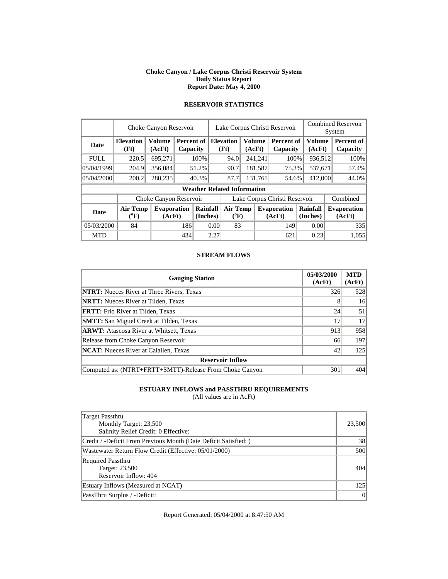#### **Choke Canyon / Lake Corpus Christi Reservoir System Daily Status Report Report Date: May 4, 2000**

|             | Choke Canyon Reservoir   |                              |     |                                    |                               | Lake Corpus Christi Reservoir |         |                         |                               |         |                      | <b>Combined Reservoir</b><br>System |                              |  |
|-------------|--------------------------|------------------------------|-----|------------------------------------|-------------------------------|-------------------------------|---------|-------------------------|-------------------------------|---------|----------------------|-------------------------------------|------------------------------|--|
| <b>Date</b> | <b>Elevation</b><br>(Ft) | <b>Volume</b><br>(AcFt)      |     | Percent of<br>Capacity             |                               | <b>Elevation</b><br>(Ft)      |         | <b>Volume</b><br>(AcFt) | <b>Percent of</b><br>Capacity |         | Volume<br>(AcFt)     |                                     | Percent of<br>Capacity       |  |
| <b>FULL</b> | 220.5                    | 695,271                      |     | 100%                               |                               | 94.0                          |         | 241,241                 | 100%                          |         | 936,512              |                                     | 100%                         |  |
| 05/04/1999  | 204.9                    | 356,084                      |     | 51.2%                              |                               | 90.7                          | 181,587 |                         | 75.3%                         |         | 537,671              |                                     | 57.4%                        |  |
| 05/04/2000  | 200.2                    | 280,235                      |     | 40.3%                              |                               | 87.7                          |         | 131.765<br>54.6%        |                               | 412,000 |                      |                                     | 44.0%                        |  |
|             |                          |                              |     | <b>Weather Related Information</b> |                               |                               |         |                         |                               |         |                      |                                     |                              |  |
|             |                          | Choke Canyon Reservoir       |     |                                    | Lake Corpus Christi Reservoir |                               |         |                         |                               |         |                      |                                     | Combined                     |  |
| <b>Date</b> | <b>Air Temp</b><br>(°F)  | <b>Evaporation</b><br>(AcFt) |     | Rainfall<br>(Inches)               |                               | <b>Air Temp</b><br>$(^{0}F)$  |         |                         | <b>Evaporation</b><br>(AcFt)  |         | Rainfall<br>(Inches) |                                     | <b>Evaporation</b><br>(AcFt) |  |
| 05/03/2000  | 84                       |                              |     | 186<br>0.00                        |                               | 83                            |         |                         | 149                           |         | 0.00                 |                                     | 335                          |  |
| <b>MTD</b>  |                          |                              | 434 |                                    | 2.27                          |                               |         |                         | 621                           |         | 0.23                 |                                     | 1.055                        |  |

# **RESERVOIR STATISTICS**

#### **STREAM FLOWS**

| <b>Gauging Station</b>                                  | 05/03/2000<br>(AcFt) | <b>MTD</b><br>(AcFt) |
|---------------------------------------------------------|----------------------|----------------------|
| <b>NTRT:</b> Nueces River at Three Rivers, Texas        | 326                  | 528                  |
| <b>NRTT:</b> Nueces River at Tilden, Texas              |                      | 16                   |
| <b>FRTT:</b> Frio River at Tilden, Texas                | 24                   | 51                   |
| <b>SMTT:</b> San Miguel Creek at Tilden, Texas          | 17                   | 17                   |
| <b>ARWT:</b> Atascosa River at Whitsett, Texas          | 913                  | 958                  |
| Release from Choke Canyon Reservoir                     | 66                   | 197                  |
| <b>NCAT:</b> Nueces River at Calallen, Texas            | 42                   | 125                  |
| <b>Reservoir Inflow</b>                                 |                      |                      |
| Computed as: (NTRT+FRTT+SMTT)-Release From Choke Canyon | 301                  | 404                  |

### **ESTUARY INFLOWS and PASSTHRU REQUIREMENTS**

(All values are in AcFt)

| Target Passthru<br>Monthly Target: 23,500<br>Salinity Relief Credit: 0 Effective: | 23,500 |
|-----------------------------------------------------------------------------------|--------|
| Credit / -Deficit From Previous Month (Date Deficit Satisfied:)                   | 38     |
| Wastewater Return Flow Credit (Effective: 05/01/2000)                             | 500    |
| <b>Required Passthru</b><br>Target: 23,500<br>Reservoir Inflow: 404               | 404    |
| Estuary Inflows (Measured at NCAT)                                                | 125    |
| PassThru Surplus / -Deficit:                                                      | 0      |

Report Generated: 05/04/2000 at 8:47:50 AM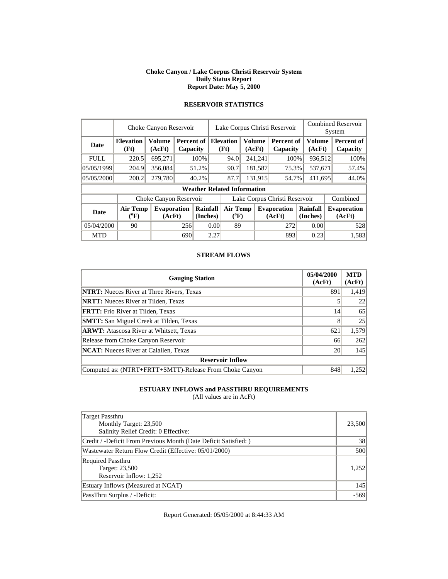#### **Choke Canyon / Lake Corpus Christi Reservoir System Daily Status Report Report Date: May 5, 2000**

|             |                              | Choke Canyon Reservoir       |                        | Lake Corpus Christi Reservoir |      |                                    |                         |         |                               | <b>Combined Reservoir</b><br>System |                         |  |                              |
|-------------|------------------------------|------------------------------|------------------------|-------------------------------|------|------------------------------------|-------------------------|---------|-------------------------------|-------------------------------------|-------------------------|--|------------------------------|
| Date        | <b>Elevation</b><br>(Ft)     | <b>Volume</b><br>(AcFt)      | Percent of<br>Capacity |                               |      | <b>Elevation</b><br>(Ft)           | <b>Volume</b><br>(AcFt) |         | <b>Percent of</b><br>Capacity |                                     | <b>Volume</b><br>(AcFt) |  | Percent of<br>Capacity       |
| <b>FULL</b> | 220.5                        | 695,271                      |                        | 100%                          |      | 94.0                               |                         | 241,241 | 100%                          |                                     | 936,512                 |  | 100%                         |
| 05/05/1999  | 204.9                        | 356,084                      |                        | 51.2%                         |      | 90.7                               |                         | 181,587 | 75.3%                         |                                     | 537,671                 |  | 57.4%                        |
| 05/05/2000  | 200.2                        | 279,780                      |                        | 40.2%                         |      | 87.7                               |                         | 131,915 | 54.7%                         |                                     | 411,695                 |  | 44.0%                        |
|             |                              |                              |                        |                               |      | <b>Weather Related Information</b> |                         |         |                               |                                     |                         |  |                              |
|             |                              | Choke Canyon Reservoir       |                        |                               |      |                                    |                         |         | Lake Corpus Christi Reservoir |                                     |                         |  | Combined                     |
| <b>Date</b> | <b>Air Temp</b><br>$(^{0}F)$ | <b>Evaporation</b><br>(AcFt) |                        | Rainfall<br>(Inches)          |      | <b>Air Temp</b><br>$(^{0}F)$       |                         |         | <b>Evaporation</b><br>(AcFt)  | Rainfall<br>(Inches)                |                         |  | <b>Evaporation</b><br>(AcFt) |
| 05/04/2000  | 90                           |                              | 256                    |                               | 0.00 | 89                                 |                         |         | 272                           |                                     | 0.00                    |  | 528                          |
| <b>MTD</b>  |                              |                              | 690                    |                               | 2.27 |                                    |                         |         | 893                           |                                     | 0.23                    |  | 1,583                        |

# **RESERVOIR STATISTICS**

#### **STREAM FLOWS**

| <b>Gauging Station</b>                                  | 05/04/2000<br>(AcFt) | <b>MTD</b><br>(AcFt) |
|---------------------------------------------------------|----------------------|----------------------|
| <b>NTRT:</b> Nueces River at Three Rivers, Texas        | 891                  | 1,419                |
| <b>NRTT:</b> Nueces River at Tilden, Texas              |                      | 22                   |
| <b>FRTT:</b> Frio River at Tilden, Texas                | 14                   | 65                   |
| <b>SMTT:</b> San Miguel Creek at Tilden, Texas          | 8                    | 25                   |
| <b>ARWT:</b> Atascosa River at Whitsett, Texas          | 621                  | 1,579                |
| Release from Choke Canyon Reservoir                     | 66                   | 262                  |
| <b>NCAT:</b> Nueces River at Calallen, Texas            | 20                   | 145                  |
| <b>Reservoir Inflow</b>                                 |                      |                      |
| Computed as: (NTRT+FRTT+SMTT)-Release From Choke Canyon | 848                  | 1,252                |

### **ESTUARY INFLOWS and PASSTHRU REQUIREMENTS**

(All values are in AcFt)

| <b>Target Passthru</b><br>Monthly Target: 23,500<br>Salinity Relief Credit: 0 Effective: | 23,500 |
|------------------------------------------------------------------------------------------|--------|
| Credit / -Deficit From Previous Month (Date Deficit Satisfied:)                          | 38     |
| Wastewater Return Flow Credit (Effective: 05/01/2000)                                    | 500    |
| <b>Required Passthru</b><br>Target: 23,500<br>Reservoir Inflow: 1,252                    | 1.252  |
| Estuary Inflows (Measured at NCAT)                                                       | 145    |
| PassThru Surplus / -Deficit:                                                             | $-569$ |

Report Generated: 05/05/2000 at 8:44:33 AM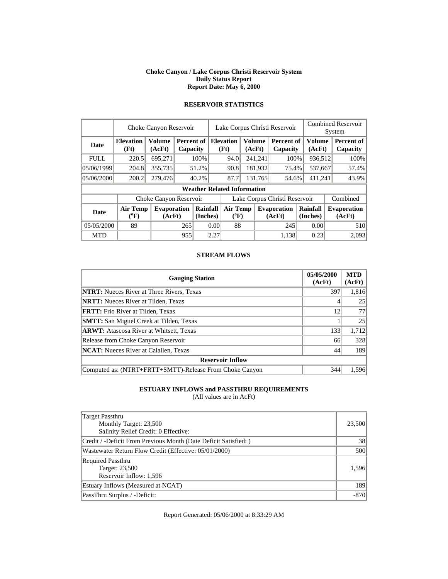#### **Choke Canyon / Lake Corpus Christi Reservoir System Daily Status Report Report Date: May 6, 2000**

|             | Choke Canyon Reservoir       |                              | Lake Corpus Christi Reservoir |                      |      |                                    |                         |         | <b>Combined Reservoir</b><br>System |  |                         |  |                              |
|-------------|------------------------------|------------------------------|-------------------------------|----------------------|------|------------------------------------|-------------------------|---------|-------------------------------------|--|-------------------------|--|------------------------------|
| Date        | <b>Elevation</b><br>(Ft)     | <b>Volume</b><br>(AcFt)      | Percent of<br>Capacity        |                      |      | <b>Elevation</b><br>(Ft)           | <b>Volume</b><br>(AcFt) |         | <b>Percent of</b><br>Capacity       |  | <b>Volume</b><br>(AcFt) |  | Percent of<br>Capacity       |
| <b>FULL</b> | 220.5                        | 695,271                      |                               | 100%                 |      | 94.0                               |                         | 241,241 | 100%                                |  | 936,512                 |  | 100%                         |
| 05/06/1999  | 204.8                        | 355,735                      |                               | 51.2%                |      | 90.8                               |                         | 181,932 | 75.4%                               |  | 537,667                 |  | 57.4%                        |
| 05/06/2000  | 200.2                        | 279,476                      |                               | 40.2%                |      | 87.7                               | 131,765                 |         | 54.6%                               |  | 411,241                 |  | 43.9%                        |
|             |                              |                              |                               |                      |      | <b>Weather Related Information</b> |                         |         |                                     |  |                         |  |                              |
|             |                              | Choke Canyon Reservoir       |                               |                      |      |                                    |                         |         | Lake Corpus Christi Reservoir       |  |                         |  | Combined                     |
| <b>Date</b> | <b>Air Temp</b><br>$(^{0}F)$ | <b>Evaporation</b><br>(AcFt) |                               | Rainfall<br>(Inches) |      | <b>Air Temp</b><br>$(^{0}F)$       |                         |         | <b>Evaporation</b><br>(AcFt)        |  | Rainfall<br>(Inches)    |  | <b>Evaporation</b><br>(AcFt) |
| 05/05/2000  | 89                           |                              | 265                           |                      | 0.00 | 88                                 |                         |         | 245                                 |  | 0.00                    |  | 510                          |
| <b>MTD</b>  |                              |                              | 955                           |                      | 2.27 |                                    |                         |         | 1,138                               |  | 0.23                    |  | 2.093                        |

# **RESERVOIR STATISTICS**

#### **STREAM FLOWS**

| <b>Gauging Station</b>                                  | 05/05/2000<br>(AcFt) | <b>MTD</b><br>(AcFt) |
|---------------------------------------------------------|----------------------|----------------------|
| <b>NTRT:</b> Nueces River at Three Rivers, Texas        | 397                  | 1,816                |
| <b>NRTT:</b> Nueces River at Tilden, Texas              |                      | 25                   |
| <b>FRTT:</b> Frio River at Tilden, Texas                | 12                   | 77                   |
| <b>SMTT:</b> San Miguel Creek at Tilden, Texas          |                      | 25                   |
| <b>ARWT:</b> Atascosa River at Whitsett, Texas          | 133                  | 1,712                |
| Release from Choke Canyon Reservoir                     | 66                   | 328                  |
| <b>NCAT:</b> Nueces River at Calallen, Texas            | 44                   | 189                  |
| <b>Reservoir Inflow</b>                                 |                      |                      |
| Computed as: (NTRT+FRTT+SMTT)-Release From Choke Canyon | 344                  | 1.596                |

### **ESTUARY INFLOWS and PASSTHRU REQUIREMENTS**

(All values are in AcFt)

| Target Passthru<br>Monthly Target: 23,500<br>Salinity Relief Credit: 0 Effective: | 23,500 |
|-----------------------------------------------------------------------------------|--------|
| Credit / -Deficit From Previous Month (Date Deficit Satisfied:)                   | 38     |
| Wastewater Return Flow Credit (Effective: 05/01/2000)                             | 500    |
| <b>Required Passthru</b><br>Target: 23,500<br>Reservoir Inflow: 1,596             | 1.596  |
| Estuary Inflows (Measured at NCAT)                                                | 189    |
| PassThru Surplus / -Deficit:                                                      | $-870$ |

Report Generated: 05/06/2000 at 8:33:29 AM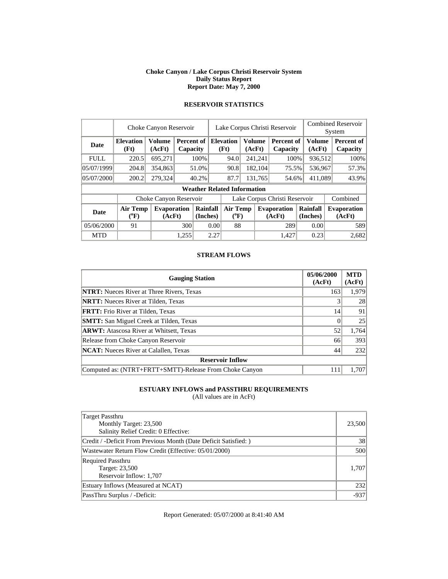#### **Choke Canyon / Lake Corpus Christi Reservoir System Daily Status Report Report Date: May 7, 2000**

|             | Choke Canyon Reservoir       |                              | Lake Corpus Christi Reservoir |                                    |      |                              |        |         | <b>Combined Reservoir</b><br>System |                      |                         |  |                              |
|-------------|------------------------------|------------------------------|-------------------------------|------------------------------------|------|------------------------------|--------|---------|-------------------------------------|----------------------|-------------------------|--|------------------------------|
| <b>Date</b> | <b>Elevation</b><br>(Ft)     | <b>Volume</b><br>(AcFt)      | Percent of<br>Capacity        |                                    |      | <b>Elevation</b><br>(Ft)     | (AcFt) | Volume  | <b>Percent of</b><br>Capacity       |                      | <b>Volume</b><br>(AcFt) |  | Percent of<br>Capacity       |
| <b>FULL</b> | 220.5                        | 695,271                      |                               | 100%                               |      | 94.0                         |        | 241,241 | 100%                                |                      | 936,512                 |  | 100%                         |
| 05/07/1999  | 204.8                        | 354,863                      |                               | 51.0%                              |      | 90.8                         |        | 182,104 | 75.5%                               |                      | 536,967                 |  | 57.3%                        |
| 05/07/2000  | 200.2                        | 279,324                      |                               | 40.2%                              |      | 87.7                         |        | 131,765 | 54.6%                               |                      | 411,089                 |  | 43.9%                        |
|             |                              |                              |                               | <b>Weather Related Information</b> |      |                              |        |         |                                     |                      |                         |  |                              |
|             |                              | Choke Canyon Reservoir       |                               |                                    |      |                              |        |         | Lake Corpus Christi Reservoir       |                      |                         |  | Combined                     |
| <b>Date</b> | <b>Air Temp</b><br>$(^{0}F)$ | <b>Evaporation</b><br>(AcFt) |                               | Rainfall<br>(Inches)               |      | <b>Air Temp</b><br>$(^{0}F)$ |        |         | <b>Evaporation</b><br>(AcFt)        | Rainfall<br>(Inches) |                         |  | <b>Evaporation</b><br>(AcFt) |
| 05/06/2000  | 91                           |                              | 300                           |                                    | 0.00 | 88                           |        |         | 289                                 |                      | 0.00                    |  | 589                          |
| <b>MTD</b>  |                              |                              | 1.255                         |                                    | 2.27 |                              |        |         | 1.427                               |                      | 0.23                    |  | 2,682                        |

# **RESERVOIR STATISTICS**

#### **STREAM FLOWS**

| <b>Gauging Station</b>                                  | 05/06/2000<br>(AcFt) | <b>MTD</b><br>(AcFt) |
|---------------------------------------------------------|----------------------|----------------------|
| <b>NTRT:</b> Nueces River at Three Rivers, Texas        | 163                  | 1,979                |
| <b>NRTT:</b> Nueces River at Tilden, Texas              |                      | 28                   |
| <b>FRTT:</b> Frio River at Tilden, Texas                | 14                   | 91                   |
| <b>SMTT:</b> San Miguel Creek at Tilden, Texas          |                      | 25                   |
| <b>ARWT:</b> Atascosa River at Whitsett, Texas          | 52                   | 1,764                |
| Release from Choke Canyon Reservoir                     | 66                   | 393                  |
| <b>NCAT:</b> Nueces River at Calallen, Texas            | 44                   | 232                  |
| <b>Reservoir Inflow</b>                                 |                      |                      |
| Computed as: (NTRT+FRTT+SMTT)-Release From Choke Canyon | 111                  | 1.707                |

### **ESTUARY INFLOWS and PASSTHRU REQUIREMENTS**

(All values are in AcFt)

| Target Passthru<br>Monthly Target: 23,500<br>Salinity Relief Credit: 0 Effective: | 23,500 |
|-----------------------------------------------------------------------------------|--------|
| Credit / -Deficit From Previous Month (Date Deficit Satisfied:)                   | 38     |
| Wastewater Return Flow Credit (Effective: 05/01/2000)                             | 500    |
| <b>Required Passthru</b><br>Target: 23,500<br>Reservoir Inflow: 1,707             | 1.707  |
| Estuary Inflows (Measured at NCAT)                                                | 232    |
| PassThru Surplus / -Deficit:                                                      | $-937$ |

Report Generated: 05/07/2000 at 8:41:40 AM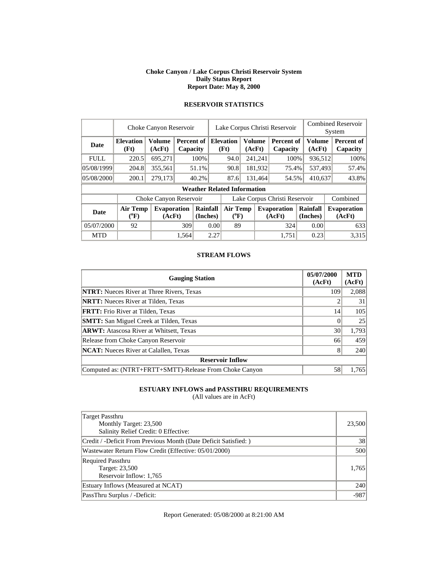#### **Choke Canyon / Lake Corpus Christi Reservoir System Daily Status Report Report Date: May 8, 2000**

|             |                              | Choke Canyon Reservoir       |                        |                      |      | Lake Corpus Christi Reservoir      |                         |         |                               | <b>Combined Reservoir</b><br>System |                  |  |                              |
|-------------|------------------------------|------------------------------|------------------------|----------------------|------|------------------------------------|-------------------------|---------|-------------------------------|-------------------------------------|------------------|--|------------------------------|
| Date        | <b>Elevation</b><br>(Ft)     | <b>Volume</b><br>(AcFt)      | Percent of<br>Capacity |                      |      | <b>Elevation</b><br>(Ft)           | <b>Volume</b><br>(AcFt) |         | <b>Percent of</b><br>Capacity |                                     | Volume<br>(AcFt) |  | Percent of<br>Capacity       |
| <b>FULL</b> | 220.5                        | 695,271                      |                        | 100%                 |      | 94.0                               |                         | 241,241 | 100%                          |                                     | 936,512          |  | 100%                         |
| 05/08/1999  | 204.8                        | 355,561                      |                        | 51.1%                |      | 90.8                               |                         | 181,932 | 75.4%                         |                                     | 537,493          |  | 57.4%                        |
| 05/08/2000  | 200.1                        | 279,173                      |                        | 40.2%                |      | 87.6                               |                         | 131,464 | 54.5%                         |                                     | 410,637          |  | 43.8%                        |
|             |                              |                              |                        |                      |      | <b>Weather Related Information</b> |                         |         |                               |                                     |                  |  |                              |
|             |                              | Choke Canyon Reservoir       |                        |                      |      |                                    |                         |         | Lake Corpus Christi Reservoir |                                     |                  |  | Combined                     |
| <b>Date</b> | <b>Air Temp</b><br>$(^{0}F)$ | <b>Evaporation</b><br>(AcFt) |                        | Rainfall<br>(Inches) |      | <b>Air Temp</b><br>$(^{0}F)$       |                         |         | <b>Evaporation</b><br>(AcFt)  | Rainfall<br>(Inches)                |                  |  | <b>Evaporation</b><br>(AcFt) |
| 05/07/2000  | 92                           |                              | 309                    |                      | 0.00 | 89                                 |                         |         | 324                           |                                     | 0.00             |  | 633                          |
| <b>MTD</b>  |                              |                              | 1,564                  |                      | 2.27 |                                    |                         |         | 1.751                         |                                     | 0.23             |  | 3,315                        |

# **RESERVOIR STATISTICS**

#### **STREAM FLOWS**

| <b>Gauging Station</b>                                  | 05/07/2000<br>(AcFt) | <b>MTD</b><br>(AcFt) |
|---------------------------------------------------------|----------------------|----------------------|
| <b>NTRT:</b> Nueces River at Three Rivers, Texas        | 109                  | 2,088                |
| <b>NRTT:</b> Nueces River at Tilden, Texas              |                      | 31                   |
| <b>FRTT:</b> Frio River at Tilden, Texas                | 14                   | 105                  |
| <b>SMTT:</b> San Miguel Creek at Tilden, Texas          |                      | 25                   |
| <b>ARWT:</b> Atascosa River at Whitsett, Texas          | 30                   | 1,793                |
| Release from Choke Canyon Reservoir                     | 66                   | 459                  |
| <b>NCAT:</b> Nueces River at Calallen, Texas            | 8                    | 240                  |
| <b>Reservoir Inflow</b>                                 |                      |                      |
| Computed as: (NTRT+FRTT+SMTT)-Release From Choke Canyon | 58                   | 1,765                |

### **ESTUARY INFLOWS and PASSTHRU REQUIREMENTS**

(All values are in AcFt)

| Target Passthru<br>Monthly Target: 23,500<br>Salinity Relief Credit: 0 Effective: | 23,500 |
|-----------------------------------------------------------------------------------|--------|
| Credit / -Deficit From Previous Month (Date Deficit Satisfied:)                   | 38     |
| Wastewater Return Flow Credit (Effective: 05/01/2000)                             | 500    |
| <b>Required Passthru</b><br>Target: 23,500<br>Reservoir Inflow: 1,765             | 1.765  |
| Estuary Inflows (Measured at NCAT)                                                | 240    |
| PassThru Surplus / -Deficit:                                                      | $-987$ |

Report Generated: 05/08/2000 at 8:21:00 AM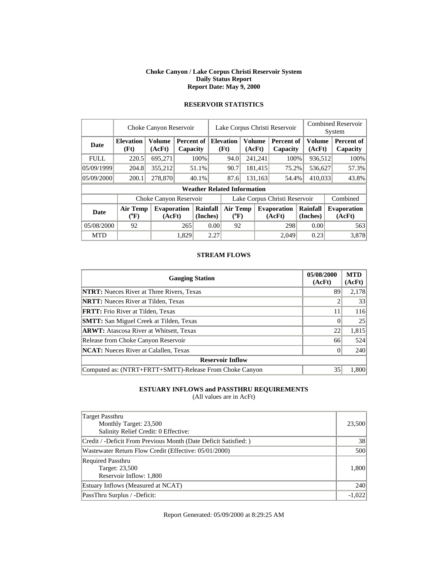#### **Choke Canyon / Lake Corpus Christi Reservoir System Daily Status Report Report Date: May 9, 2000**

|             | Choke Canyon Reservoir       |                              |                      |                        | Lake Corpus Christi Reservoir |                                              |  |                  |                              |                      | <b>Combined Reservoir</b> |                              |  |
|-------------|------------------------------|------------------------------|----------------------|------------------------|-------------------------------|----------------------------------------------|--|------------------|------------------------------|----------------------|---------------------------|------------------------------|--|
|             |                              |                              |                      |                        |                               |                                              |  |                  |                              | System               |                           |                              |  |
| Date        | <b>Elevation</b><br>(Ft)     | <b>Volume</b><br>(AcFt)      |                      | Percent of<br>Capacity |                               | Volume<br><b>Elevation</b><br>(Ft)<br>(AcFt) |  |                  | Percent of<br>Capacity       |                      | <b>Volume</b><br>(AcFt)   | Percent of<br>Capacity       |  |
| <b>FULL</b> | 220.5                        | 695,271                      |                      | 100%                   |                               | 94.0                                         |  | 241,241          | 100%                         |                      | 936,512                   | 100%                         |  |
| 05/09/1999  | 204.8                        | 355,212                      |                      | 51.1%                  |                               | 90.7                                         |  | 181,415          | 75.2%                        |                      | 536,627                   | 57.3%                        |  |
| 05/09/2000  | 200.1                        | 278,870                      |                      | 40.1%                  |                               | 87.6                                         |  | 131,163<br>54.4% |                              | 410,033              |                           | 43.8%                        |  |
|             |                              |                              |                      |                        |                               | <b>Weather Related Information</b>           |  |                  |                              |                      |                           |                              |  |
|             |                              | Choke Canyon Reservoir       |                      |                        | Lake Corpus Christi Reservoir |                                              |  |                  |                              |                      |                           | Combined                     |  |
| <b>Date</b> | <b>Air Temp</b><br>$(^{0}F)$ | <b>Evaporation</b><br>(AcFt) | Rainfall<br>(Inches) |                        |                               | Air Temp<br>$(^{0}F)$                        |  |                  | <b>Evaporation</b><br>(AcFt) | Rainfall<br>(Inches) |                           | <b>Evaporation</b><br>(AcFt) |  |
| 05/08/2000  | 92                           |                              | 265                  | 0.00                   |                               | 92                                           |  |                  | 298                          |                      | 0.00                      | 563                          |  |
| <b>MTD</b>  |                              |                              | 1,829                |                        | 2.27                          |                                              |  |                  | 2.049                        |                      | 0.23                      | 3,878                        |  |

# **RESERVOIR STATISTICS**

#### **STREAM FLOWS**

| <b>Gauging Station</b>                                  | 05/08/2000<br>(AcFt) | <b>MTD</b><br>(AcFt) |
|---------------------------------------------------------|----------------------|----------------------|
| <b>NTRT:</b> Nueces River at Three Rivers, Texas        | 89                   | 2,178                |
| <b>NRTT:</b> Nueces River at Tilden, Texas              |                      | 33                   |
| FRTT: Frio River at Tilden, Texas                       | 11                   | 116                  |
| <b>SMTT:</b> San Miguel Creek at Tilden, Texas          |                      | 25                   |
| <b>ARWT:</b> Atascosa River at Whitsett, Texas          | 22                   | 1,815                |
| Release from Choke Canyon Reservoir                     | 66                   | 524                  |
| <b>NCAT:</b> Nueces River at Calallen, Texas            |                      | 240                  |
| <b>Reservoir Inflow</b>                                 |                      |                      |
| Computed as: (NTRT+FRTT+SMTT)-Release From Choke Canyon | 35                   | 1.800                |

### **ESTUARY INFLOWS and PASSTHRU REQUIREMENTS**

(All values are in AcFt)

| <b>Target Passthru</b><br>Monthly Target: 23,500<br>Salinity Relief Credit: 0 Effective: | 23,500   |
|------------------------------------------------------------------------------------------|----------|
| Credit / -Deficit From Previous Month (Date Deficit Satisfied:)                          | 38       |
| Wastewater Return Flow Credit (Effective: 05/01/2000)                                    | 500      |
| <b>Required Passthru</b><br>Target: 23,500<br>Reservoir Inflow: 1,800                    | 1,800    |
| Estuary Inflows (Measured at NCAT)                                                       | 240      |
| PassThru Surplus / -Deficit:                                                             | $-1.022$ |

Report Generated: 05/09/2000 at 8:29:25 AM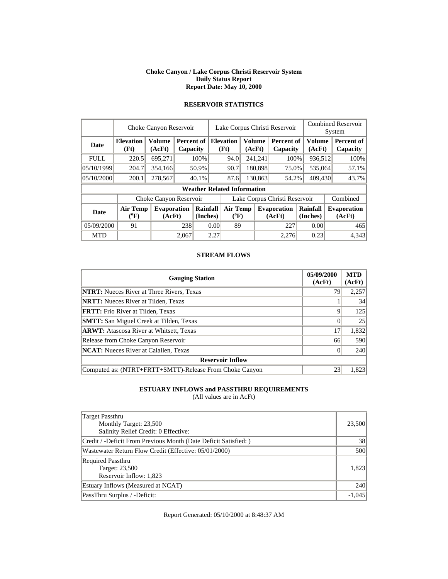#### **Choke Canyon / Lake Corpus Christi Reservoir System Daily Status Report Report Date: May 10, 2000**

|             | Choke Canyon Reservoir   |                              |                        |                      | Lake Corpus Christi Reservoir |                                    |         |               |                               |                      | <b>Combined Reservoir</b><br>System |                              |  |
|-------------|--------------------------|------------------------------|------------------------|----------------------|-------------------------------|------------------------------------|---------|---------------|-------------------------------|----------------------|-------------------------------------|------------------------------|--|
| Date        | <b>Elevation</b><br>(Ft) | <b>Volume</b><br>(AcFt)      | Percent of<br>Capacity |                      |                               | <b>Elevation</b><br>(Ft)           | (AcFt)  | <b>Volume</b> | <b>Percent of</b><br>Capacity |                      | Volume<br>(AcFt)                    | Percent of<br>Capacity       |  |
| <b>FULL</b> | 220.5                    | 695,271                      |                        | 100%                 |                               | 94.0                               |         | 241,241       | 100%                          |                      | 936,512                             | 100%                         |  |
| 05/10/1999  | 204.7                    | 354,166                      |                        | 50.9%                |                               | 90.7                               | 180,898 |               | 75.0%                         |                      | 535,064                             | 57.1%                        |  |
| 05/10/2000  | 200.1                    | 278,567                      |                        | 40.1%                |                               | 87.6                               |         | 130.863       |                               | 409,430<br>54.2%     |                                     | 43.7%                        |  |
|             |                          |                              |                        |                      |                               | <b>Weather Related Information</b> |         |               |                               |                      |                                     |                              |  |
|             |                          | Choke Canyon Reservoir       |                        |                      | Lake Corpus Christi Reservoir |                                    |         |               |                               |                      | Combined                            |                              |  |
| <b>Date</b> | Air Temp<br>$(^{0}F)$    | <b>Evaporation</b><br>(AcFt) |                        | Rainfall<br>(Inches) |                               | <b>Air Temp</b><br>$(^{0}F)$       |         |               | <b>Evaporation</b><br>(AcFt)  | Rainfall<br>(Inches) |                                     | <b>Evaporation</b><br>(AcFt) |  |
| 05/09/2000  | 91                       |                              | 238                    |                      | 0.00                          | 89                                 |         |               | 227                           | 0.00                 |                                     | 465                          |  |
| <b>MTD</b>  |                          |                              | 2.067                  |                      | 2.27                          |                                    |         |               | 2.276                         | 0.23                 |                                     | 4,343                        |  |

# **RESERVOIR STATISTICS**

#### **STREAM FLOWS**

| <b>Gauging Station</b>                                  | 05/09/2000<br>(AcFt) | <b>MTD</b><br>(AcFt) |
|---------------------------------------------------------|----------------------|----------------------|
| <b>NTRT:</b> Nueces River at Three Rivers, Texas        | 79                   | 2,257                |
| <b>NRTT:</b> Nueces River at Tilden, Texas              |                      | 34                   |
| <b>FRTT:</b> Frio River at Tilden, Texas                | Q                    | 125                  |
| <b>SMTT:</b> San Miguel Creek at Tilden, Texas          |                      | 25                   |
| <b>ARWT:</b> Atascosa River at Whitsett, Texas          | 17                   | 1,832                |
| Release from Choke Canyon Reservoir                     | 66                   | 590                  |
| <b>NCAT:</b> Nueces River at Calallen, Texas            |                      | 240                  |
| <b>Reservoir Inflow</b>                                 |                      |                      |
| Computed as: (NTRT+FRTT+SMTT)-Release From Choke Canyon | 23                   | 1,823                |

### **ESTUARY INFLOWS and PASSTHRU REQUIREMENTS**

(All values are in AcFt)

| Target Passthru<br>Monthly Target: 23,500<br>Salinity Relief Credit: 0 Effective: | 23,500   |
|-----------------------------------------------------------------------------------|----------|
| Credit / -Deficit From Previous Month (Date Deficit Satisfied:)                   | 38       |
| Wastewater Return Flow Credit (Effective: 05/01/2000)                             | 500      |
| <b>Required Passthru</b><br>Target: 23,500<br>Reservoir Inflow: 1,823             | 1.823    |
| Estuary Inflows (Measured at NCAT)                                                | 240      |
| PassThru Surplus / -Deficit:                                                      | $-1,045$ |

Report Generated: 05/10/2000 at 8:48:37 AM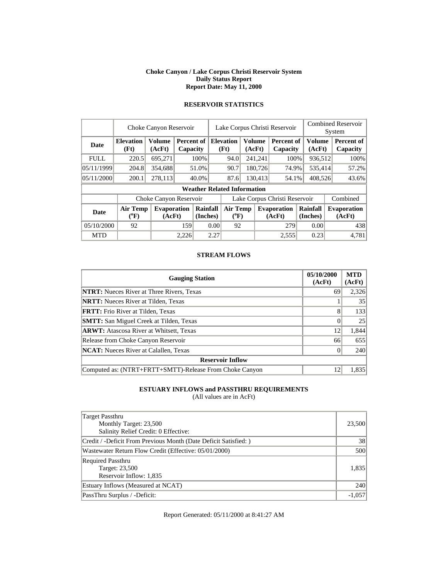#### **Choke Canyon / Lake Corpus Christi Reservoir System Daily Status Report Report Date: May 11, 2000**

|             | Choke Canyon Reservoir   |                              |                        |                                    | Lake Corpus Christi Reservoir |                                                     |  |         |                               |                      | <b>Combined Reservoir</b><br>System |  |                              |
|-------------|--------------------------|------------------------------|------------------------|------------------------------------|-------------------------------|-----------------------------------------------------|--|---------|-------------------------------|----------------------|-------------------------------------|--|------------------------------|
| <b>Date</b> | <b>Elevation</b><br>(Ft) | <b>Volume</b><br>(AcFt)      | Percent of<br>Capacity |                                    |                               | <b>Elevation</b><br><b>Volume</b><br>(Ft)<br>(AcFt) |  |         | <b>Percent of</b><br>Capacity |                      | Volume<br>(AcFt)                    |  | Percent of<br>Capacity       |
| <b>FULL</b> | 220.5                    | 695,271                      |                        | 100%                               |                               | 94.0                                                |  | 241,241 | 100%                          |                      | 936,512                             |  | 100%                         |
| 05/11/1999  | 204.8                    | 354,688                      |                        | 51.0%                              |                               | 90.7                                                |  | 180,726 | 74.9%                         | 535,414              |                                     |  | 57.2%                        |
| 05/11/2000  | 200.1                    | 278,113                      |                        | 40.0%                              |                               | 87.6                                                |  | 130.413 | 54.1%                         | 408,526              |                                     |  | 43.6%                        |
|             |                          |                              |                        | <b>Weather Related Information</b> |                               |                                                     |  |         |                               |                      |                                     |  |                              |
|             |                          | Choke Canyon Reservoir       |                        |                                    | Lake Corpus Christi Reservoir |                                                     |  |         |                               |                      |                                     |  | Combined                     |
| <b>Date</b> | <b>Air Temp</b><br>(°F)  | <b>Evaporation</b><br>(AcFt) |                        | Rainfall<br>(Inches)               |                               | <b>Air Temp</b><br>$(^{0}F)$                        |  |         | <b>Evaporation</b><br>(AcFt)  | Rainfall<br>(Inches) |                                     |  | <b>Evaporation</b><br>(AcFt) |
| 05/10/2000  | 92                       |                              | 159                    | 0.00                               |                               | 92                                                  |  |         | 279                           |                      | 0.00                                |  | 438                          |
| <b>MTD</b>  |                          |                              | 2,226                  |                                    | 2.27                          |                                                     |  |         | 2.555                         |                      | 0.23                                |  | 4.781                        |

# **RESERVOIR STATISTICS**

#### **STREAM FLOWS**

| <b>Gauging Station</b>                                  | 05/10/2000<br>(AcFt) | <b>MTD</b><br>(AcFt) |
|---------------------------------------------------------|----------------------|----------------------|
| <b>NTRT:</b> Nueces River at Three Rivers, Texas        | 69                   | 2,326                |
| <b>NRTT:</b> Nueces River at Tilden, Texas              |                      | 35                   |
| <b>FRTT:</b> Frio River at Tilden, Texas                | 8                    | 133                  |
| <b>SMTT:</b> San Miguel Creek at Tilden, Texas          |                      | 25                   |
| <b>ARWT:</b> Atascosa River at Whitsett, Texas          | 12                   | 1,844                |
| Release from Choke Canyon Reservoir                     | 66                   | 655                  |
| <b>NCAT:</b> Nueces River at Calallen, Texas            |                      | 240                  |
| <b>Reservoir Inflow</b>                                 |                      |                      |
| Computed as: (NTRT+FRTT+SMTT)-Release From Choke Canyon | 12                   | 1,835                |

### **ESTUARY INFLOWS and PASSTHRU REQUIREMENTS**

(All values are in AcFt)

| Target Passthru<br>Monthly Target: 23,500<br>Salinity Relief Credit: 0 Effective: | 23,500   |
|-----------------------------------------------------------------------------------|----------|
| Credit / -Deficit From Previous Month (Date Deficit Satisfied: )                  | 38       |
| Wastewater Return Flow Credit (Effective: 05/01/2000)                             | 500      |
| <b>Required Passthru</b><br>Target: 23,500<br>Reservoir Inflow: 1,835             | 1,835    |
| Estuary Inflows (Measured at NCAT)                                                | 240      |
| PassThru Surplus / -Deficit:                                                      | $-1,057$ |

Report Generated: 05/11/2000 at 8:41:27 AM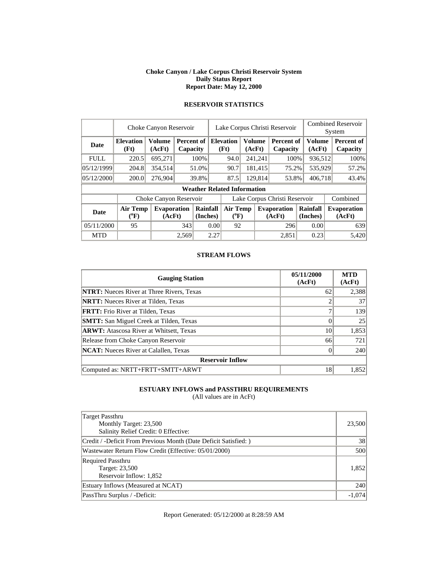#### **Choke Canyon / Lake Corpus Christi Reservoir System Daily Status Report Report Date: May 12, 2000**

|             | Choke Canyon Reservoir   |                              |                        |                      |                               |                                    | Lake Corpus Christi Reservoir |                  | <b>Combined Reservoir</b><br>System |                      |  |                              |
|-------------|--------------------------|------------------------------|------------------------|----------------------|-------------------------------|------------------------------------|-------------------------------|------------------|-------------------------------------|----------------------|--|------------------------------|
| <b>Date</b> | <b>Elevation</b><br>(Ft) | <b>Volume</b><br>(AcFt)      | Percent of<br>Capacity |                      |                               | <b>Elevation</b><br>(Ft)           | <b>Volume</b><br>(AcFt)       |                  | <b>Percent of</b><br>Capacity       | Volume<br>(AcFt)     |  | Percent of<br>Capacity       |
| <b>FULL</b> | 220.5                    | 695,271                      |                        | 100%                 |                               | 94.0                               |                               | 241,241          | 100%                                | 936,512              |  | 100%                         |
| 05/12/1999  | 204.8                    | 354,514                      |                        | 51.0%                |                               | 90.7                               |                               | 181,415          | 75.2%                               | 535,929              |  | 57.2%                        |
| 05/12/2000  | 200.0                    | 276,904                      |                        | 39.8%                |                               | 87.5                               |                               | 129.814<br>53.8% |                                     | 406.718              |  | 43.4%                        |
|             |                          |                              |                        |                      |                               | <b>Weather Related Information</b> |                               |                  |                                     |                      |  |                              |
|             |                          | Choke Canyon Reservoir       |                        |                      | Lake Corpus Christi Reservoir |                                    |                               |                  |                                     |                      |  | Combined                     |
| <b>Date</b> | <b>Air Temp</b><br>(°F)  | <b>Evaporation</b><br>(AcFt) |                        | Rainfall<br>(Inches) |                               | <b>Air Temp</b><br>$(^{0}F)$       |                               |                  | <b>Evaporation</b><br>(AcFt)        | Rainfall<br>(Inches) |  | <b>Evaporation</b><br>(AcFt) |
| 05/11/2000  | 95                       |                              | 343                    | 0.00                 |                               | 92                                 |                               |                  | 296                                 | 0.00                 |  | 639                          |
| <b>MTD</b>  |                          |                              | 2.569                  |                      | 2.27                          |                                    |                               |                  | 2.851                               | 0.23                 |  | 5.420                        |

# **RESERVOIR STATISTICS**

#### **STREAM FLOWS**

| <b>Gauging Station</b>                           | 05/11/2000<br>(AcFt) | <b>MTD</b><br>(AcFt) |
|--------------------------------------------------|----------------------|----------------------|
| <b>NTRT:</b> Nueces River at Three Rivers, Texas | 62                   | 2,388                |
| <b>NRTT:</b> Nueces River at Tilden, Texas       |                      | 37                   |
| <b>FRTT:</b> Frio River at Tilden, Texas         |                      | 139                  |
| <b>SMTT:</b> San Miguel Creek at Tilden, Texas   |                      | 25                   |
| <b>ARWT:</b> Atascosa River at Whitsett, Texas   | 10                   | 1,853                |
| Release from Choke Canyon Reservoir              | 66                   | 721                  |
| <b>NCAT:</b> Nueces River at Calallen, Texas     |                      | 240                  |
| <b>Reservoir Inflow</b>                          |                      |                      |
| Computed as: NRTT+FRTT+SMTT+ARWT                 | 18                   | 1,852                |

### **ESTUARY INFLOWS and PASSTHRU REQUIREMENTS**

(All values are in AcFt)

| Target Passthru<br>Monthly Target: 23,500<br>Salinity Relief Credit: 0 Effective: | 23,500   |
|-----------------------------------------------------------------------------------|----------|
| Credit / -Deficit From Previous Month (Date Deficit Satisfied: )                  | 38       |
| Wastewater Return Flow Credit (Effective: 05/01/2000)                             | 500      |
| <b>Required Passthru</b><br>Target: 23,500<br>Reservoir Inflow: 1,852             | 1,852    |
| Estuary Inflows (Measured at NCAT)                                                | 240      |
| PassThru Surplus / -Deficit:                                                      | $-1,074$ |

Report Generated: 05/12/2000 at 8:28:59 AM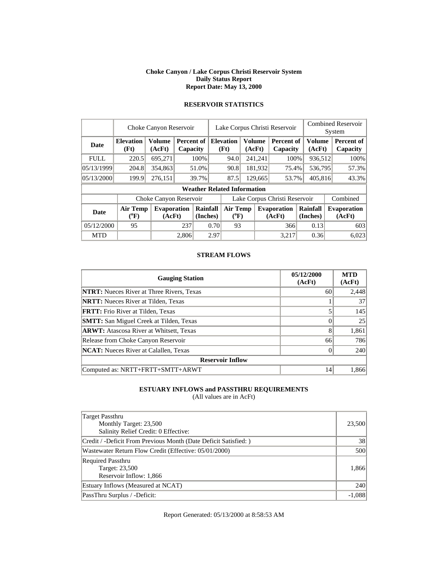#### **Choke Canyon / Lake Corpus Christi Reservoir System Daily Status Report Report Date: May 13, 2000**

|             | Choke Canyon Reservoir       |                              |       |                                    |                               | Lake Corpus Christi Reservoir |                                                                                          |                         |                               |                              |          | <b>Combined Reservoir</b><br>System |  |  |
|-------------|------------------------------|------------------------------|-------|------------------------------------|-------------------------------|-------------------------------|------------------------------------------------------------------------------------------|-------------------------|-------------------------------|------------------------------|----------|-------------------------------------|--|--|
| <b>Date</b> | <b>Elevation</b><br>(Ft)     | <b>Volume</b><br>(AcFt)      |       | Percent of<br>Capacity             |                               | <b>Elevation</b><br>(Ft)      |                                                                                          | <b>Volume</b><br>(AcFt) | <b>Percent of</b><br>Capacity | <b>Volume</b><br>(AcFt)      |          | Percent of<br>Capacity              |  |  |
| <b>FULL</b> | 220.5                        | 695,271                      |       | 100\%                              |                               | 94.0                          |                                                                                          | 241,241                 | 100%                          | 936,512                      |          | 100%                                |  |  |
| 05/13/1999  | 204.8                        | 354,863                      |       | 51.0%                              | 90.8                          |                               |                                                                                          | 181,932                 | 75.4%                         |                              | 536,795  | 57.3%                               |  |  |
| 05/13/2000  | 199.9                        | 276,151                      |       | 39.7%                              |                               | 87.5                          |                                                                                          | 129,665                 | 53.7%                         | 405,816                      |          | 43.3%                               |  |  |
|             |                              |                              |       | <b>Weather Related Information</b> |                               |                               |                                                                                          |                         |                               |                              |          |                                     |  |  |
|             |                              | Choke Canyon Reservoir       |       |                                    | Lake Corpus Christi Reservoir |                               |                                                                                          |                         |                               |                              | Combined |                                     |  |  |
| <b>Date</b> | <b>Air Temp</b><br>$(^{0}F)$ | <b>Evaporation</b><br>(AcFt) |       | Rainfall<br>(Inches)               |                               |                               | <b>Air Temp</b><br>Rainfall<br><b>Evaporation</b><br>$(^{\circ}F)$<br>(AcFt)<br>(Inches) |                         |                               | <b>Evaporation</b><br>(AcFt) |          |                                     |  |  |
| 05/12/2000  | 95                           |                              | 237   |                                    | 0.70                          | 93                            |                                                                                          |                         | 366                           | 0.13                         |          | 603                                 |  |  |
| <b>MTD</b>  |                              |                              | 2,806 |                                    | 2.97                          |                               |                                                                                          |                         | 3.217                         | 0.36                         |          | 6,023                               |  |  |

### **RESERVOIR STATISTICS**

#### **STREAM FLOWS**

| <b>Gauging Station</b>                           | 05/12/2000<br>(AcFt) | <b>MTD</b><br>(AcFt) |
|--------------------------------------------------|----------------------|----------------------|
| <b>NTRT:</b> Nueces River at Three Rivers, Texas | 60                   | 2,448                |
| <b>NRTT:</b> Nueces River at Tilden, Texas       |                      | 37                   |
| <b>FRTT:</b> Frio River at Tilden, Texas         |                      | 145                  |
| <b>SMTT:</b> San Miguel Creek at Tilden, Texas   |                      | 25                   |
| <b>ARWT:</b> Atascosa River at Whitsett, Texas   | 8                    | 1,861                |
| Release from Choke Canyon Reservoir              | 66                   | 786                  |
| <b>NCAT:</b> Nueces River at Calallen, Texas     |                      | 240                  |
| <b>Reservoir Inflow</b>                          |                      |                      |
| Computed as: NRTT+FRTT+SMTT+ARWT                 | 14                   | 1,866                |

### **ESTUARY INFLOWS and PASSTHRU REQUIREMENTS**

(All values are in AcFt)

| Target Passthru<br>Monthly Target: 23,500<br>Salinity Relief Credit: 0 Effective: | 23,500   |
|-----------------------------------------------------------------------------------|----------|
| Credit / -Deficit From Previous Month (Date Deficit Satisfied: )                  | 38       |
| Wastewater Return Flow Credit (Effective: 05/01/2000)                             | 500      |
| <b>Required Passthru</b><br>Target: 23,500<br>Reservoir Inflow: 1,866             | 1,866    |
| Estuary Inflows (Measured at NCAT)                                                | 240      |
| PassThru Surplus / -Deficit:                                                      | $-1,088$ |

Report Generated: 05/13/2000 at 8:58:53 AM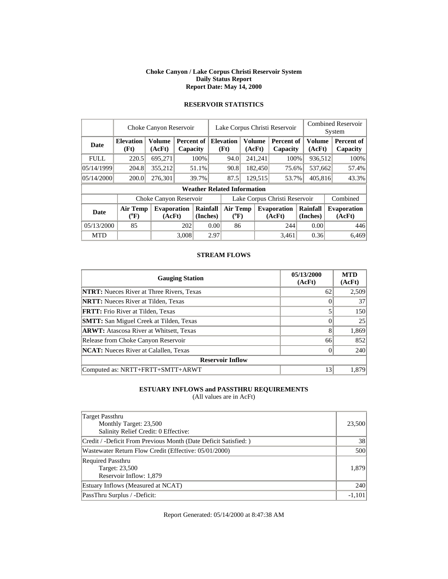#### **Choke Canyon / Lake Corpus Christi Reservoir System Daily Status Report Report Date: May 14, 2000**

|             | Choke Canyon Reservoir   |                              |                        |                      |                               | Lake Corpus Christi Reservoir      |         |                         |                              |  |                      | <b>Combined Reservoir</b><br>System |                              |  |                        |
|-------------|--------------------------|------------------------------|------------------------|----------------------|-------------------------------|------------------------------------|---------|-------------------------|------------------------------|--|----------------------|-------------------------------------|------------------------------|--|------------------------|
| <b>Date</b> | <b>Elevation</b><br>(Ft) | <b>Volume</b><br>(AcFt)      | Percent of<br>Capacity |                      |                               | <b>Elevation</b><br>(Ft)           |         | <b>Volume</b><br>(AcFt) | Percent of<br>Capacity       |  | Volume<br>(AcFt)     |                                     |                              |  | Percent of<br>Capacity |
| <b>FULL</b> | 220.5                    | 695,271                      |                        | 100%                 |                               | 94.0                               |         | 241,241                 | 100%                         |  | 936,512              |                                     | 100%                         |  |                        |
| 05/14/1999  | 204.8                    | 355,212                      |                        | 51.1%                |                               | 90.8                               |         | 182,450                 | 75.6%                        |  | 537,662              |                                     | 57.4%                        |  |                        |
| 05/14/2000  | 200.0                    | 276,301                      |                        | 39.7%                |                               | 87.5                               | 129.515 |                         | 53.7%                        |  | 405,816              |                                     | 43.3%                        |  |                        |
|             |                          |                              |                        |                      |                               | <b>Weather Related Information</b> |         |                         |                              |  |                      |                                     |                              |  |                        |
|             |                          | Choke Canyon Reservoir       |                        |                      | Lake Corpus Christi Reservoir |                                    |         |                         |                              |  |                      |                                     | Combined                     |  |                        |
| <b>Date</b> | <b>Air Temp</b><br>(°F)  | <b>Evaporation</b><br>(AcFt) |                        | Rainfall<br>(Inches) |                               | <b>Air Temp</b><br>$(^{0}F)$       |         |                         | <b>Evaporation</b><br>(AcFt) |  | Rainfall<br>(Inches) |                                     | <b>Evaporation</b><br>(AcFt) |  |                        |
| 05/13/2000  | 85                       |                              | 202                    |                      | 0.00                          | 86                                 |         |                         | 244                          |  | 0.00                 |                                     | 446                          |  |                        |
| <b>MTD</b>  |                          |                              | 3.008                  |                      | 2.97                          |                                    |         |                         | 3.461                        |  | 0.36                 |                                     | 6.469                        |  |                        |

# **RESERVOIR STATISTICS**

#### **STREAM FLOWS**

| <b>Gauging Station</b>                           | 05/13/2000<br>(AcFt) | <b>MTD</b><br>(AcFt) |
|--------------------------------------------------|----------------------|----------------------|
| <b>NTRT:</b> Nueces River at Three Rivers, Texas | 62                   | 2,509                |
| <b>NRTT:</b> Nueces River at Tilden, Texas       |                      | 37                   |
| <b>FRTT:</b> Frio River at Tilden, Texas         |                      | 150                  |
| <b>SMTT:</b> San Miguel Creek at Tilden, Texas   |                      | 25                   |
| <b>ARWT:</b> Atascosa River at Whitsett, Texas   | 8                    | 1,869                |
| Release from Choke Canyon Reservoir              | 66                   | 852                  |
| <b>NCAT:</b> Nueces River at Calallen, Texas     |                      | 240                  |
| <b>Reservoir Inflow</b>                          |                      |                      |
| Computed as: NRTT+FRTT+SMTT+ARWT                 | 13                   | 1.879                |

### **ESTUARY INFLOWS and PASSTHRU REQUIREMENTS**

(All values are in AcFt)

| Target Passthru<br>Monthly Target: 23,500<br>Salinity Relief Credit: 0 Effective: | 23,500   |
|-----------------------------------------------------------------------------------|----------|
| Credit / -Deficit From Previous Month (Date Deficit Satisfied: )                  | 38       |
| Wastewater Return Flow Credit (Effective: 05/01/2000)                             | 500      |
| <b>Required Passthru</b><br>Target: 23,500<br>Reservoir Inflow: 1,879             | 1,879    |
| Estuary Inflows (Measured at NCAT)                                                | 240      |
| PassThru Surplus / -Deficit:                                                      | $-1,101$ |

Report Generated: 05/14/2000 at 8:47:38 AM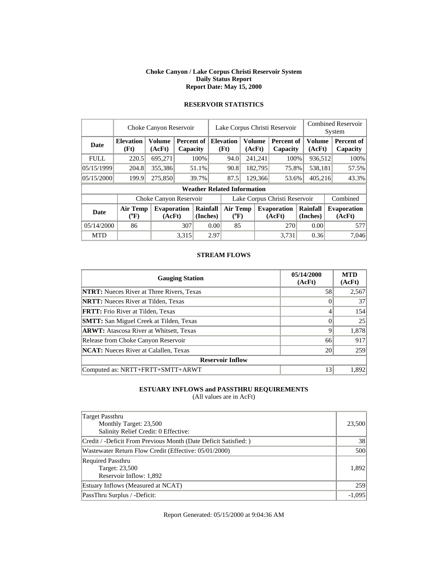#### **Choke Canyon / Lake Corpus Christi Reservoir System Daily Status Report Report Date: May 15, 2000**

|             | Choke Canyon Reservoir   |                              |                        |                      |                               | Lake Corpus Christi Reservoir      |         |               |                              |                      |                  | <b>Combined Reservoir</b><br>System |  |  |
|-------------|--------------------------|------------------------------|------------------------|----------------------|-------------------------------|------------------------------------|---------|---------------|------------------------------|----------------------|------------------|-------------------------------------|--|--|
| <b>Date</b> | <b>Elevation</b><br>(Ft) | <b>Volume</b><br>(AcFt)      | Percent of<br>Capacity |                      |                               | <b>Elevation</b><br>(Ft)           | (AcFt)  | <b>Volume</b> | Percent of<br>Capacity       |                      | Volume<br>(AcFt) | Percent of<br>Capacity              |  |  |
| <b>FULL</b> | 220.5                    | 695,271                      |                        | 100%                 |                               | 94.0                               |         | 241,241       | 100%                         |                      | 936,512          | 100%                                |  |  |
| 05/15/1999  | 204.8                    | 355,386                      |                        | 51.1%                |                               | 90.8                               |         | 182,795       | 75.8%                        |                      | 538,181          | 57.5%                               |  |  |
| 05/15/2000  | 199.9                    | 275,850                      |                        | 39.7%                |                               | 87.5                               | 129.366 |               | 53.6%                        | 405,216              |                  | 43.3%                               |  |  |
|             |                          |                              |                        |                      |                               | <b>Weather Related Information</b> |         |               |                              |                      |                  |                                     |  |  |
|             |                          | Choke Canyon Reservoir       |                        |                      | Lake Corpus Christi Reservoir |                                    |         |               |                              |                      |                  | Combined                            |  |  |
| <b>Date</b> | <b>Air Temp</b><br>(°F)  | <b>Evaporation</b><br>(AcFt) |                        | Rainfall<br>(Inches) |                               | <b>Air Temp</b><br>$(^{0}F)$       |         |               | <b>Evaporation</b><br>(AcFt) | Rainfall<br>(Inches) |                  | <b>Evaporation</b><br>(AcFt)        |  |  |
| 05/14/2000  | 86                       |                              | 307                    |                      | 0.00                          | 85                                 |         |               | 270                          | 0.00                 |                  | 577                                 |  |  |
| <b>MTD</b>  |                          |                              | 3.315                  |                      | 2.97                          |                                    |         |               | 3.731                        | 0.36                 |                  | 7.046                               |  |  |

# **RESERVOIR STATISTICS**

#### **STREAM FLOWS**

| <b>Gauging Station</b>                           | 05/14/2000<br>(AcFt) | <b>MTD</b><br>(AcFt) |
|--------------------------------------------------|----------------------|----------------------|
| <b>NTRT:</b> Nueces River at Three Rivers, Texas | 58                   | 2,567                |
| <b>NRTT:</b> Nueces River at Tilden, Texas       |                      | 37                   |
| <b>FRTT:</b> Frio River at Tilden, Texas         |                      | 154                  |
| <b>SMTT:</b> San Miguel Creek at Tilden, Texas   |                      | 25                   |
| <b>ARWT:</b> Atascosa River at Whitsett, Texas   | Q                    | 1,878                |
| Release from Choke Canyon Reservoir              | 66                   | 917                  |
| <b>NCAT:</b> Nueces River at Calallen. Texas     | 20                   | 259                  |
| <b>Reservoir Inflow</b>                          |                      |                      |
| Computed as: NRTT+FRTT+SMTT+ARWT                 | 13                   | 1,892                |

### **ESTUARY INFLOWS and PASSTHRU REQUIREMENTS**

(All values are in AcFt)

| Target Passthru<br>Monthly Target: 23,500<br>Salinity Relief Credit: 0 Effective: | 23,500   |
|-----------------------------------------------------------------------------------|----------|
| Credit / -Deficit From Previous Month (Date Deficit Satisfied: )                  | 38       |
| Wastewater Return Flow Credit (Effective: 05/01/2000)                             | 500      |
| <b>Required Passthru</b><br>Target: 23,500<br>Reservoir Inflow: 1,892             | 1,892    |
| Estuary Inflows (Measured at NCAT)                                                | 259      |
| PassThru Surplus / -Deficit:                                                      | $-1,095$ |

Report Generated: 05/15/2000 at 9:04:36 AM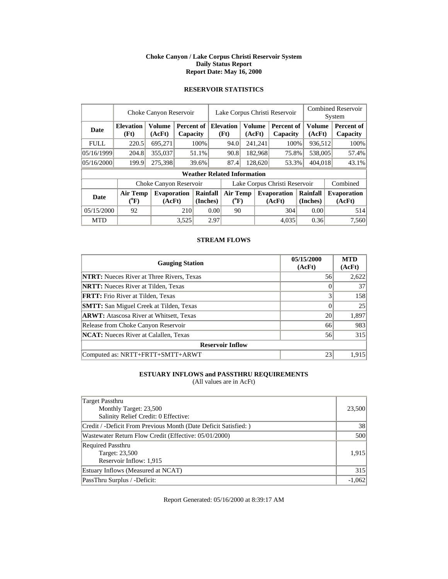### **Choke Canyon / Lake Corpus Christi Reservoir System Daily Status Report Report Date: May 16, 2000**

### **RESERVOIR STATISTICS**

|             | Choke Canyon Reservoir                |                              |       |                        |                               | Lake Corpus Christi Reservoir      |  |                         |                               |         |                         | <b>Combined Reservoir</b><br>System |                              |  |
|-------------|---------------------------------------|------------------------------|-------|------------------------|-------------------------------|------------------------------------|--|-------------------------|-------------------------------|---------|-------------------------|-------------------------------------|------------------------------|--|
| <b>Date</b> | <b>Elevation</b><br>(Ft)              | <b>Volume</b><br>(AcFt)      |       | Percent of<br>Capacity |                               | <b>Elevation</b><br>(Ft)           |  | <b>Volume</b><br>(AcFt) | <b>Percent of</b><br>Capacity |         | <b>Volume</b><br>(AcFt) |                                     | Percent of<br>Capacity       |  |
| <b>FULL</b> | 220.5                                 | 695,271                      |       | 100%                   |                               | 94.0                               |  | 241,241                 | 100%                          |         | 936,512                 |                                     | 100%                         |  |
| 05/16/1999  | 204.8                                 | 355,037                      |       | 51.1%                  |                               | 90.8                               |  | 182,968                 | 75.8%                         |         | 538,005                 |                                     | 57.4%                        |  |
| 05/16/2000  | 199.9                                 | 275,398                      |       | 39.6%                  |                               | 87.4                               |  | 128,620<br>53.3%        |                               | 404,018 |                         |                                     | 43.1%                        |  |
|             |                                       |                              |       |                        |                               | <b>Weather Related Information</b> |  |                         |                               |         |                         |                                     |                              |  |
|             |                                       | Choke Canyon Reservoir       |       |                        | Lake Corpus Christi Reservoir |                                    |  |                         |                               |         |                         |                                     | Combined                     |  |
| <b>Date</b> | <b>Air Temp</b><br>$({}^0\mathrm{F})$ | <b>Evaporation</b><br>(AcFt) |       | Rainfall<br>(Inches)   | Air Temp<br>$(^{0}F)$         |                                    |  |                         | <b>Evaporation</b><br>(AcFt)  |         | Rainfall<br>(Inches)    |                                     | <b>Evaporation</b><br>(AcFt) |  |
| 05/15/2000  | 92                                    |                              | 210   | 0.00                   |                               | 90                                 |  |                         | 304                           |         | 0.00                    |                                     | 514                          |  |
| <b>MTD</b>  |                                       |                              | 3,525 |                        | 2.97                          |                                    |  |                         | 4.035                         |         | 0.36                    |                                     | 7,560                        |  |

### **STREAM FLOWS**

| <b>Gauging Station</b>                           | 05/15/2000<br>(AcFt) | <b>MTD</b><br>(AcFt) |
|--------------------------------------------------|----------------------|----------------------|
| <b>NTRT:</b> Nueces River at Three Rivers, Texas | 56                   | 2,622                |
| <b>NRTT:</b> Nueces River at Tilden, Texas       |                      | 37                   |
| <b>FRTT:</b> Frio River at Tilden, Texas         |                      | 158                  |
| <b>SMTT:</b> San Miguel Creek at Tilden, Texas   |                      | 25                   |
| <b>ARWT:</b> Atascosa River at Whitsett, Texas   | 20                   | 1,897                |
| Release from Choke Canyon Reservoir              | 66                   | 983                  |
| <b>NCAT:</b> Nueces River at Calallen, Texas     | 56                   | 315                  |
| <b>Reservoir Inflow</b>                          |                      |                      |
| Computed as: NRTT+FRTT+SMTT+ARWT                 | 23                   | 1,915                |

# **ESTUARY INFLOWS and PASSTHRU REQUIREMENTS**

(All values are in AcFt)

| Target Passthru                                                  |          |
|------------------------------------------------------------------|----------|
| Monthly Target: 23,500                                           | 23,500   |
| Salinity Relief Credit: 0 Effective:                             |          |
| Credit / -Deficit From Previous Month (Date Deficit Satisfied: ) | 38       |
| Wastewater Return Flow Credit (Effective: 05/01/2000)            | 500      |
| <b>Required Passthru</b>                                         |          |
| Target: 23,500                                                   | 1.915    |
| Reservoir Inflow: 1,915                                          |          |
| Estuary Inflows (Measured at NCAT)                               | 315      |
| PassThru Surplus / -Deficit:                                     | $-1,062$ |

Report Generated: 05/16/2000 at 8:39:17 AM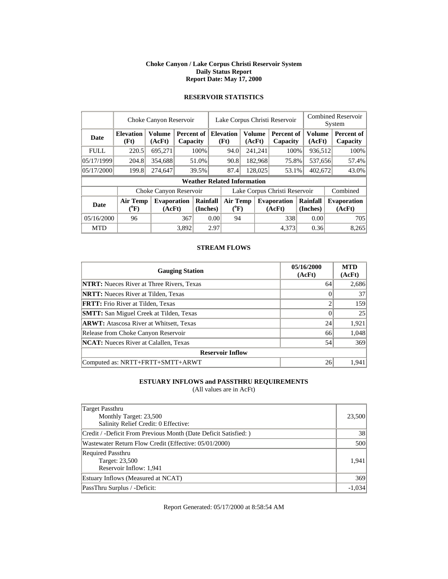#### **Choke Canyon / Lake Corpus Christi Reservoir System Daily Status Report Report Date: May 17, 2000**

|             | Choke Canyon Reservoir         |                              |       |                          |      | Lake Corpus Christi Reservoir                |  |         |                               |                         |  | <b>Combined Reservoir</b><br>System |  |  |
|-------------|--------------------------------|------------------------------|-------|--------------------------|------|----------------------------------------------|--|---------|-------------------------------|-------------------------|--|-------------------------------------|--|--|
| <b>Date</b> | <b>Elevation</b><br>(Ft)       | <b>Volume</b><br>(AcFt)      |       | Percent of I<br>Capacity |      | <b>Elevation</b><br>Volume<br>(Ft)<br>(AcFt) |  |         | Percent of<br>Capacity        | <b>Volume</b><br>(AcFt) |  | Percent of<br>Capacity              |  |  |
| <b>FULL</b> | 220.5                          | 695,271                      |       | 100%                     |      | 94.0                                         |  | 241,241 |                               | 100%<br>936,512         |  | 100%                                |  |  |
| 05/17/1999  | 204.8                          | 354,688                      |       | 51.0%                    |      | 182,968<br>90.8                              |  |         | 75.8%                         | 537,656                 |  | 57.4%                               |  |  |
| 05/17/2000  | 199.8                          | 274,647                      | 39.5% |                          |      | 87.4                                         |  | 128,025 | 53.1%                         | 402,672                 |  | 43.0%                               |  |  |
|             |                                |                              |       |                          |      | <b>Weather Related Information</b>           |  |         |                               |                         |  |                                     |  |  |
|             |                                | Choke Canyon Reservoir       |       |                          |      |                                              |  |         | Lake Corpus Christi Reservoir |                         |  | Combined                            |  |  |
| <b>Date</b> | Air Temp<br>$({}^0\mathrm{F})$ | <b>Evaporation</b><br>(AcFt) |       | Rainfall<br>(Inches)     |      | <b>Air Temp</b><br>$({}^0\mathrm{F})$        |  |         | <b>Evaporation</b><br>(AcFt)  | Rainfall<br>(Inches)    |  | <b>Evaporation</b><br>(AcFt)        |  |  |
| 05/16/2000  | 96                             |                              | 367   | 0.00                     |      | 94                                           |  |         | 338                           | 0.00                    |  | 705                                 |  |  |
| <b>MTD</b>  |                                |                              | 3.892 |                          | 2.97 |                                              |  |         | 4.373                         | 0.36                    |  | 8,265                               |  |  |

# **RESERVOIR STATISTICS**

### **STREAM FLOWS**

| <b>Gauging Station</b>                           | 05/16/2000<br>(AcFt) | <b>MTD</b><br>(AcFt) |
|--------------------------------------------------|----------------------|----------------------|
| <b>NTRT:</b> Nueces River at Three Rivers, Texas | 64                   | 2,686                |
| <b>NRTT:</b> Nueces River at Tilden, Texas       |                      | 37                   |
| FRTT: Frio River at Tilden, Texas                |                      | 159                  |
| <b>SMTT:</b> San Miguel Creek at Tilden, Texas   |                      | 25                   |
| <b>ARWT:</b> Atascosa River at Whitsett, Texas   | 24                   | 1,921                |
| Release from Choke Canyon Reservoir              | 66                   | 1,048                |
| <b>NCAT:</b> Nueces River at Calallen, Texas     | 54                   | 369                  |
| <b>Reservoir Inflow</b>                          |                      |                      |
| Computed as: NRTT+FRTT+SMTT+ARWT                 | 26                   | 1.941                |

### **ESTUARY INFLOWS and PASSTHRU REQUIREMENTS**

(All values are in AcFt)

| Target Passthru                                                 |          |
|-----------------------------------------------------------------|----------|
| Monthly Target: 23,500                                          | 23,500   |
| Salinity Relief Credit: 0 Effective:                            |          |
| Credit / -Deficit From Previous Month (Date Deficit Satisfied:) | 38       |
| Wastewater Return Flow Credit (Effective: 05/01/2000)           | 500      |
| <b>Required Passthru</b>                                        |          |
| Target: 23,500                                                  | 1.941    |
| Reservoir Inflow: 1,941                                         |          |
| Estuary Inflows (Measured at NCAT)                              | 369      |
| PassThru Surplus / -Deficit:                                    | $-1.034$ |

Report Generated: 05/17/2000 at 8:58:54 AM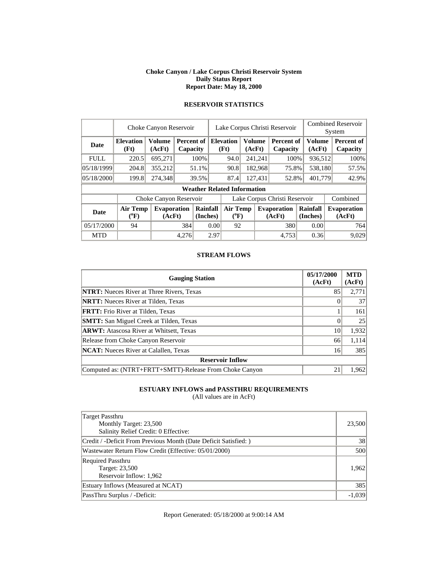#### **Choke Canyon / Lake Corpus Christi Reservoir System Daily Status Report Report Date: May 18, 2000**

|             | Choke Canyon Reservoir       |                              |       |                        |      | Lake Corpus Christi Reservoir      |         |                                                          |                               |                      |  | <b>Combined Reservoir</b><br>System |  |  |
|-------------|------------------------------|------------------------------|-------|------------------------|------|------------------------------------|---------|----------------------------------------------------------|-------------------------------|----------------------|--|-------------------------------------|--|--|
| <b>Date</b> | <b>Elevation</b><br>(Ft)     | <b>Volume</b><br>(AcFt)      |       | Percent of<br>Capacity |      | <b>Elevation</b><br>(Ft)           |         | <b>Volume</b><br><b>Percent of</b><br>(AcFt)<br>Capacity |                               | Volume<br>(AcFt)     |  | Percent of<br>Capacity              |  |  |
| <b>FULL</b> | 220.5                        | 695,271                      |       | 100%                   |      | 94.0                               | 241,241 |                                                          | 100%                          | 936,512              |  | 100%                                |  |  |
| 05/18/1999  | 204.8                        | 355,212                      |       | 51.1%                  |      | 182,968<br>90.8                    |         |                                                          | 75.8%                         | 538.180              |  | 57.5%                               |  |  |
| 05/18/2000  | 199.8                        | 274,348                      |       | 39.5%                  |      | 87.4                               |         | 127,431                                                  | 52.8%                         | 401.779              |  | 42.9%                               |  |  |
|             |                              |                              |       |                        |      | <b>Weather Related Information</b> |         |                                                          |                               |                      |  |                                     |  |  |
|             |                              | Choke Canyon Reservoir       |       |                        |      |                                    |         |                                                          | Lake Corpus Christi Reservoir |                      |  | Combined                            |  |  |
| <b>Date</b> | <b>Air Temp</b><br>$(^{0}F)$ | <b>Evaporation</b><br>(AcFt) |       | Rainfall<br>(Inches)   |      | <b>Air Temp</b><br>$(^{0}F)$       |         |                                                          | <b>Evaporation</b><br>(AcFt)  | Rainfall<br>(Inches) |  | <b>Evaporation</b><br>(AcFt)        |  |  |
| 05/17/2000  | 94                           |                              |       | 384<br>0.00            |      | 92                                 |         |                                                          | 380                           | 0.00                 |  | 764                                 |  |  |
| <b>MTD</b>  |                              |                              | 4,276 |                        | 2.97 |                                    |         |                                                          | 4.753                         | 0.36                 |  | 9.029                               |  |  |

### **RESERVOIR STATISTICS**

#### **STREAM FLOWS**

| <b>Gauging Station</b>                                  | 05/17/2000<br>(AcFt) | <b>MTD</b><br>(AcFt) |
|---------------------------------------------------------|----------------------|----------------------|
| <b>NTRT:</b> Nueces River at Three Rivers, Texas        | 85                   | 2,771                |
| <b>NRTT:</b> Nueces River at Tilden, Texas              |                      | 37                   |
| <b>FRTT:</b> Frio River at Tilden, Texas                |                      | 161                  |
| <b>SMTT:</b> San Miguel Creek at Tilden, Texas          |                      | 25                   |
| <b>ARWT:</b> Atascosa River at Whitsett, Texas          | 10                   | 1,932                |
| Release from Choke Canyon Reservoir                     | 66                   | 1,114                |
| <b>NCAT:</b> Nueces River at Calallen, Texas            | 16                   | 385                  |
| <b>Reservoir Inflow</b>                                 |                      |                      |
| Computed as: (NTRT+FRTT+SMTT)-Release From Choke Canyon | 21                   | 1.962                |

### **ESTUARY INFLOWS and PASSTHRU REQUIREMENTS**

(All values are in AcFt)

| Target Passthru<br>Monthly Target: 23,500<br>Salinity Relief Credit: 0 Effective: | 23,500   |
|-----------------------------------------------------------------------------------|----------|
| Credit / -Deficit From Previous Month (Date Deficit Satisfied:)                   | 38       |
| Wastewater Return Flow Credit (Effective: 05/01/2000)                             | 500      |
| <b>Required Passthru</b><br>Target: 23,500<br>Reservoir Inflow: 1,962             | 1.962    |
| Estuary Inflows (Measured at NCAT)                                                | 385      |
| PassThru Surplus / -Deficit:                                                      | $-1,039$ |

Report Generated: 05/18/2000 at 9:00:14 AM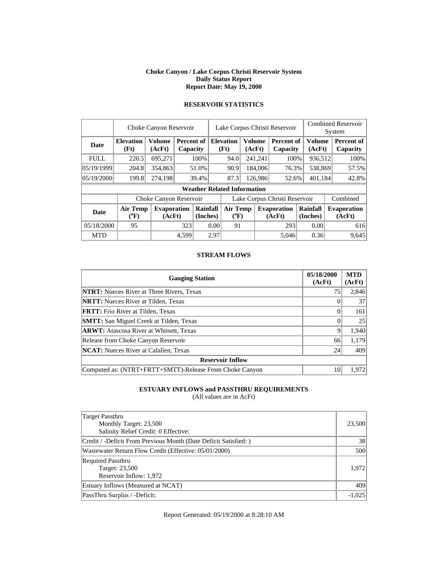#### **Choke Canyon / Lake Corpus Christi Reservoir System Daily Status Report Report Date: May 19, 2000**

|             | Choke Canyon Reservoir   |                              |       |                          |      | Lake Corpus Christi Reservoir                |         |         |                               |                      |  | <b>Combined Reservoir</b><br>System |  |  |
|-------------|--------------------------|------------------------------|-------|--------------------------|------|----------------------------------------------|---------|---------|-------------------------------|----------------------|--|-------------------------------------|--|--|
| <b>Date</b> | <b>Elevation</b><br>(Ft) | <b>Volume</b><br>(AcFt)      |       | Percent of I<br>Capacity |      | <b>Elevation</b><br>Volume<br>(Ft)<br>(AcFt) |         |         | Percent of<br>Capacity        | Volume<br>(AcFt)     |  | Percent of<br>Capacity              |  |  |
| <b>FULL</b> | 220.5                    | 695,271                      |       | 100%                     |      | 94.0                                         |         | 241,241 | 100%                          | 936,512              |  | 100%                                |  |  |
| 05/19/1999  | 204.8                    | 354,863                      |       | 51.0%                    |      | 90.9                                         | 184,006 |         | 76.3%                         | 538,869              |  | 57.5%                               |  |  |
| 05/19/2000  | 199.8                    | 274.198                      |       | 39.4%                    |      | 87.3                                         | 126.986 |         | 52.6%                         | 401.184              |  | 42.8%                               |  |  |
|             |                          |                              |       |                          |      | <b>Weather Related Information</b>           |         |         |                               |                      |  |                                     |  |  |
|             |                          | Choke Canyon Reservoir       |       |                          |      |                                              |         |         | Lake Corpus Christi Reservoir |                      |  | Combined                            |  |  |
| Date        | <b>Air Temp</b><br>(°F)  | <b>Evaporation</b><br>(AcFt) |       | Rainfall<br>(Inches)     |      | <b>Air Temp</b><br>$(^{0}F)$                 |         |         | <b>Evaporation</b><br>(AcFt)  | Rainfall<br>(Inches) |  | <b>Evaporation</b><br>(AcFt)        |  |  |
| 05/18/2000  | 95                       |                              |       | 323<br>0.00              |      | 91                                           |         |         | 293                           | 0.00                 |  | 616                                 |  |  |
| <b>MTD</b>  |                          |                              | 4.599 |                          | 2.97 |                                              |         |         | 5.046                         | 0.36                 |  | 9.645                               |  |  |

# **RESERVOIR STATISTICS**

#### **STREAM FLOWS**

| <b>Gauging Station</b>                                  | 05/18/2000<br>(AcFt) | <b>MTD</b><br>(AcFt) |
|---------------------------------------------------------|----------------------|----------------------|
| <b>NTRT:</b> Nueces River at Three Rivers, Texas        | 75                   | 2,846                |
| <b>NRTT:</b> Nueces River at Tilden, Texas              |                      | 37                   |
| <b>FRTT:</b> Frio River at Tilden, Texas                |                      | 161                  |
| <b>SMTT:</b> San Miguel Creek at Tilden, Texas          |                      | 25                   |
| <b>ARWT:</b> Atascosa River at Whitsett, Texas          | 9                    | 1,940                |
| Release from Choke Canyon Reservoir                     | 66                   | 1,179                |
| <b>NCAT:</b> Nueces River at Calallen, Texas            | 24                   | 409                  |
| <b>Reservoir Inflow</b>                                 |                      |                      |
| Computed as: (NTRT+FRTT+SMTT)-Release From Choke Canyon | 10                   | 1.972                |

### **ESTUARY INFLOWS and PASSTHRU REQUIREMENTS**

(All values are in AcFt)

| Target Passthru<br>Monthly Target: 23,500<br>Salinity Relief Credit: 0 Effective: | 23,500   |
|-----------------------------------------------------------------------------------|----------|
| Credit / -Deficit From Previous Month (Date Deficit Satisfied: )                  | 38       |
| Wastewater Return Flow Credit (Effective: 05/01/2000)                             | 500      |
| <b>Required Passthru</b><br>Target: 23,500<br>Reservoir Inflow: 1,972             | 1.972    |
| Estuary Inflows (Measured at NCAT)                                                | 409      |
| PassThru Surplus / -Deficit:                                                      | $-1.025$ |

Report Generated: 05/19/2000 at 8:28:10 AM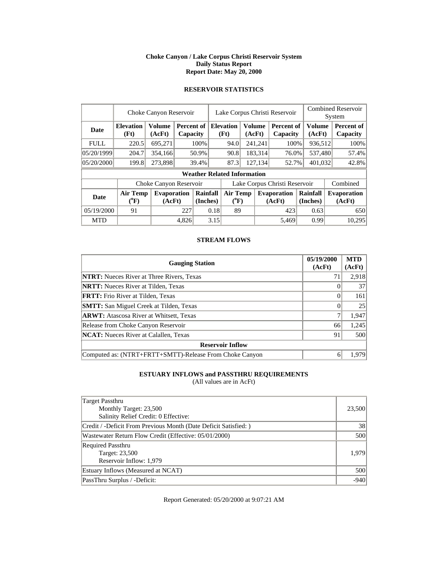#### **Choke Canyon / Lake Corpus Christi Reservoir System Daily Status Report Report Date: May 20, 2000**

### **RESERVOIR STATISTICS**

|             | Choke Canyon Reservoir                |                              |       |                                         |      | Lake Corpus Christi Reservoir      |                                  |                         |                               |                         |  | <b>Combined Reservoir</b><br>System |  |  |
|-------------|---------------------------------------|------------------------------|-------|-----------------------------------------|------|------------------------------------|----------------------------------|-------------------------|-------------------------------|-------------------------|--|-------------------------------------|--|--|
| <b>Date</b> | <b>Elevation</b><br>(Ft)              | <b>Volume</b><br>(AcFt)      |       | <b>Percent of Elevation</b><br>Capacity |      | (Ft)                               |                                  | <b>Volume</b><br>(AcFt) | Percent of<br>Capacity        | <b>Volume</b><br>(AcFt) |  | Percent of<br>Capacity              |  |  |
| <b>FULL</b> | 220.5                                 | 695,271                      |       | 100%                                    |      | 94.0                               |                                  | 241,241<br>100%         |                               | 936,512                 |  | 100%                                |  |  |
| 05/20/1999  | 204.7                                 | 354,166                      |       | 50.9%                                   |      | 90.8                               | 183,314                          |                         | 76.0%                         | 537,480                 |  | 57.4%                               |  |  |
| 05/20/2000  | 199.8                                 | 273,898                      |       | 39.4%                                   |      | 87.3                               |                                  | 127,134                 | 52.7%                         | 401,032                 |  | 42.8%                               |  |  |
|             |                                       |                              |       |                                         |      | <b>Weather Related Information</b> |                                  |                         |                               |                         |  |                                     |  |  |
|             |                                       | Choke Canyon Reservoir       |       |                                         |      |                                    |                                  |                         | Lake Corpus Christi Reservoir |                         |  | Combined                            |  |  |
| <b>Date</b> | <b>Air Temp</b><br>$({}^0\mathrm{F})$ | <b>Evaporation</b><br>(AcFt) |       | Rainfall<br>(Inches)                    |      |                                    | <b>Air Temp</b><br>$(^{\circ}F)$ |                         | <b>Evaporation</b><br>(AcFt)  | Rainfall<br>(Inches)    |  | <b>Evaporation</b><br>(AcFt)        |  |  |
| 05/19/2000  | 91                                    |                              | 227   | 0.18                                    |      | 89                                 |                                  |                         | 423                           | 0.63                    |  | 650                                 |  |  |
| <b>MTD</b>  |                                       |                              | 4.826 |                                         | 3.15 |                                    |                                  |                         | 5,469                         | 0.99                    |  | 10,295                              |  |  |

### **STREAM FLOWS**

| <b>Gauging Station</b>                                  | 05/19/2000<br>(AcFt) | <b>MTD</b><br>(AcFt) |
|---------------------------------------------------------|----------------------|----------------------|
| <b>NTRT:</b> Nueces River at Three Rivers, Texas        | 71                   | 2,918                |
| <b>NRTT:</b> Nueces River at Tilden, Texas              |                      | 37                   |
| <b>FRTT:</b> Frio River at Tilden, Texas                |                      | 161                  |
| <b>SMTT:</b> San Miguel Creek at Tilden, Texas          |                      | 25                   |
| <b>ARWT:</b> Atascosa River at Whitsett, Texas          |                      | 1,947                |
| Release from Choke Canyon Reservoir                     | 66                   | 1,245                |
| <b>NCAT:</b> Nueces River at Calallen, Texas            | 91                   | 500                  |
| <b>Reservoir Inflow</b>                                 |                      |                      |
| Computed as: (NTRT+FRTT+SMTT)-Release From Choke Canyon | 6                    | 1.979                |

# **ESTUARY INFLOWS and PASSTHRU REQUIREMENTS**

(All values are in AcFt)

| Target Passthru<br>Monthly Target: 23,500<br>Salinity Relief Credit: 0 Effective: | 23,500 |
|-----------------------------------------------------------------------------------|--------|
| Credit / -Deficit From Previous Month (Date Deficit Satisfied:)                   | 38     |
| Wastewater Return Flow Credit (Effective: 05/01/2000)                             | 500    |
| <b>Required Passthru</b><br>Target: 23,500<br>Reservoir Inflow: 1,979             | 1.979  |
| Estuary Inflows (Measured at NCAT)                                                | 500    |
| PassThru Surplus / -Deficit:                                                      | $-940$ |

Report Generated: 05/20/2000 at 9:07:21 AM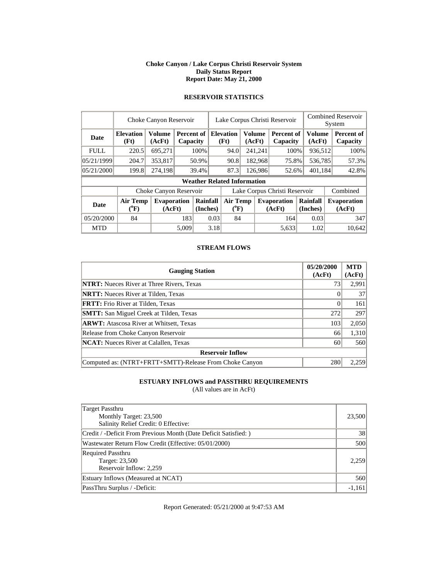#### **Choke Canyon / Lake Corpus Christi Reservoir System Daily Status Report Report Date: May 21, 2000**

|             | Choke Canyon Reservoir   |                              |       |                        |      | Lake Corpus Christi Reservoir         |    |                         |                               |                         |  | <b>Combined Reservoir</b><br>System |  |  |
|-------------|--------------------------|------------------------------|-------|------------------------|------|---------------------------------------|----|-------------------------|-------------------------------|-------------------------|--|-------------------------------------|--|--|
| <b>Date</b> | <b>Elevation</b><br>(Ft) | <b>Volume</b><br>(AcFt)      |       | Percent of<br>Capacity |      | <b>Elevation</b><br>(Ft)              |    | <b>Volume</b><br>(AcFt) | Percent of<br>Capacity        | <b>Volume</b><br>(AcFt) |  | Percent of<br>Capacity              |  |  |
| <b>FULL</b> | 220.5                    | 695,271                      |       | 100%                   | 94.0 |                                       |    | 241,241                 | 100%                          | 936,512                 |  | 100%                                |  |  |
| 05/21/1999  | 204.7                    | 353,817                      |       | 50.9%                  |      | 90.8                                  |    | 182,968                 | 75.8%                         | 536,785                 |  | 57.3%                               |  |  |
| 05/21/2000  | 199.8                    | 274,198                      |       | 39.4%                  |      | 87.3                                  |    | 126,986                 | 52.6%                         | 401,184                 |  | 42.8%                               |  |  |
|             |                          |                              |       |                        |      | <b>Weather Related Information</b>    |    |                         |                               |                         |  |                                     |  |  |
|             |                          | Choke Canyon Reservoir       |       |                        |      |                                       |    |                         | Lake Corpus Christi Reservoir |                         |  | Combined                            |  |  |
| <b>Date</b> | Air Temp<br>$(^{0}F)$    | <b>Evaporation</b><br>(AcFt) |       | Rainfall<br>(Inches)   |      | <b>Air Temp</b><br>$({}^0\mathrm{F})$ |    |                         | <b>Evaporation</b><br>(AcFt)  | Rainfall<br>(Inches)    |  | <b>Evaporation</b><br>(AcFt)        |  |  |
| 05/20/2000  | 84                       |                              |       | 183<br>0.03            |      |                                       | 84 |                         | 164                           | 0.03                    |  | 347                                 |  |  |
| <b>MTD</b>  |                          |                              | 5,009 |                        | 3.18 |                                       |    |                         | 5,633                         | 1.02                    |  | 10.642                              |  |  |

# **RESERVOIR STATISTICS**

#### **STREAM FLOWS**

| <b>Gauging Station</b>                                  | 05/20/2000<br>(AcFt) | <b>MTD</b><br>(AcFt) |
|---------------------------------------------------------|----------------------|----------------------|
| <b>NTRT:</b> Nueces River at Three Rivers, Texas        | 73                   | 2,991                |
| <b>NRTT:</b> Nueces River at Tilden, Texas              |                      | 37                   |
| <b>FRTT:</b> Frio River at Tilden, Texas                | 0                    | 161                  |
| <b>SMTT:</b> San Miguel Creek at Tilden, Texas          | 272                  | 297                  |
| <b>ARWT:</b> Atascosa River at Whitsett, Texas          | 103                  | 2,050                |
| Release from Choke Canyon Reservoir                     | 66                   | 1,310                |
| <b>NCAT:</b> Nueces River at Calallen, Texas            | 60                   | 560                  |
| <b>Reservoir Inflow</b>                                 |                      |                      |
| Computed as: (NTRT+FRTT+SMTT)-Release From Choke Canyon | 280                  | 2.259                |

### **ESTUARY INFLOWS and PASSTHRU REQUIREMENTS**

(All values are in AcFt)

| Target Passthru<br>Monthly Target: 23,500                             | 23,500   |
|-----------------------------------------------------------------------|----------|
| Salinity Relief Credit: 0 Effective:                                  |          |
| Credit / -Deficit From Previous Month (Date Deficit Satisfied: )      | 38       |
| Wastewater Return Flow Credit (Effective: 05/01/2000)                 | 500      |
| <b>Required Passthru</b><br>Target: 23,500<br>Reservoir Inflow: 2,259 | 2,259    |
| Estuary Inflows (Measured at NCAT)                                    | 560      |
| PassThru Surplus / -Deficit:                                          | $-1,161$ |

Report Generated: 05/21/2000 at 9:47:53 AM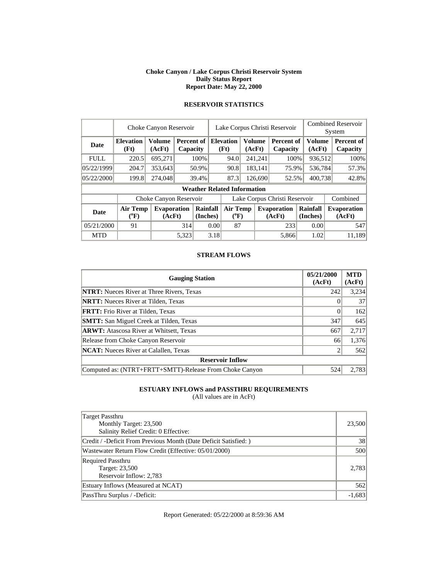#### **Choke Canyon / Lake Corpus Christi Reservoir System Daily Status Report Report Date: May 22, 2000**

|             | Choke Canyon Reservoir   |                              |       |                        |                               | Lake Corpus Christi Reservoir                       |         |         |                               |                      |                         | <b>Combined Reservoir</b><br>System |
|-------------|--------------------------|------------------------------|-------|------------------------|-------------------------------|-----------------------------------------------------|---------|---------|-------------------------------|----------------------|-------------------------|-------------------------------------|
| Date        | <b>Elevation</b><br>(Ft) | <b>Volume</b><br>(AcFt)      |       | Percent of<br>Capacity |                               | <b>Volume</b><br><b>Elevation</b><br>(Ft)<br>(AcFt) |         |         | <b>Percent of</b><br>Capacity |                      | <b>Volume</b><br>(AcFt) | Percent of<br>Capacity              |
| <b>FULL</b> | 220.5                    | 695,271                      |       | 100%                   |                               | 94.0                                                | 241,241 |         | 100%                          |                      | 936,512                 | 100%                                |
| 05/22/1999  | 204.7                    | 353,643                      |       | 50.9%                  |                               | 90.8                                                |         | 183,141 | 75.9%                         |                      | 536,784                 | 57.3%                               |
| 05/22/2000  | 199.8                    | 274,048                      |       | 39.4%                  |                               | 87.3<br>126,690                                     |         |         | 52.5%                         |                      | 400,738                 | 42.8%                               |
|             |                          |                              |       |                        |                               | <b>Weather Related Information</b>                  |         |         |                               |                      |                         |                                     |
|             |                          | Choke Canyon Reservoir       |       |                        | Lake Corpus Christi Reservoir |                                                     |         |         |                               |                      |                         | Combined                            |
| Date        | Air Temp<br>$(^oF)$      | <b>Evaporation</b><br>(AcFt) |       | Rainfall<br>(Inches)   |                               | <b>Air Temp</b><br>$(^{0}F)$                        |         |         | <b>Evaporation</b><br>(AcFt)  | Rainfall<br>(Inches) |                         | <b>Evaporation</b><br>(AcFt)        |
| 05/21/2000  | 91                       |                              |       | 0.00<br>314            |                               | 87                                                  |         |         | 233                           | 0.00                 |                         | 547                                 |
| <b>MTD</b>  |                          |                              | 5,323 |                        | 3.18                          |                                                     |         |         | 5,866                         |                      | 1.02                    | 11,189                              |

# **RESERVOIR STATISTICS**

#### **STREAM FLOWS**

| <b>Gauging Station</b>                                  | 05/21/2000<br>(AcFt) | <b>MTD</b><br>(AcFt) |
|---------------------------------------------------------|----------------------|----------------------|
| <b>NTRT:</b> Nueces River at Three Rivers, Texas        | 242                  | 3,234                |
| <b>NRTT:</b> Nueces River at Tilden, Texas              |                      | 37                   |
| <b>FRTT:</b> Frio River at Tilden, Texas                | 0                    | 162                  |
| <b>SMTT:</b> San Miguel Creek at Tilden, Texas          | 347                  | 645                  |
| <b>ARWT:</b> Atascosa River at Whitsett, Texas          | 667                  | 2,717                |
| Release from Choke Canyon Reservoir                     | 66                   | 1,376                |
| <b>NCAT:</b> Nueces River at Calallen, Texas            |                      | 562                  |
| <b>Reservoir Inflow</b>                                 |                      |                      |
| Computed as: (NTRT+FRTT+SMTT)-Release From Choke Canyon | 524                  | 2,783                |

### **ESTUARY INFLOWS and PASSTHRU REQUIREMENTS**

(All values are in AcFt)

| Target Passthru<br>Monthly Target: 23,500<br>Salinity Relief Credit: 0 Effective: | 23,500   |
|-----------------------------------------------------------------------------------|----------|
| Credit / -Deficit From Previous Month (Date Deficit Satisfied: )                  | 38       |
| Wastewater Return Flow Credit (Effective: 05/01/2000)                             | 500      |
| <b>Required Passthru</b><br>Target: 23,500<br>Reservoir Inflow: 2,783             | 2.783    |
| Estuary Inflows (Measured at NCAT)                                                | 562      |
| PassThru Surplus / -Deficit:                                                      | $-1,683$ |

Report Generated: 05/22/2000 at 8:59:36 AM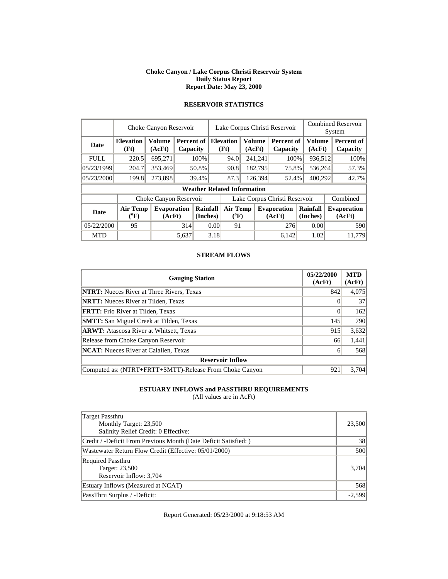#### **Choke Canyon / Lake Corpus Christi Reservoir System Daily Status Report Report Date: May 23, 2000**

|             | Choke Canyon Reservoir       |                         |       |                        |                               | Lake Corpus Christi Reservoir                |    |                  |                              | <b>Combined Reservoir</b><br>System |  |                              |
|-------------|------------------------------|-------------------------|-------|------------------------|-------------------------------|----------------------------------------------|----|------------------|------------------------------|-------------------------------------|--|------------------------------|
| Date        | <b>Elevation</b><br>(Ft)     | <b>Volume</b><br>(AcFt) |       | Percent of<br>Capacity |                               | Volume<br><b>Elevation</b><br>(Ft)<br>(AcFt) |    |                  | Percent of<br>Capacity       | Volume<br>(AcFt)                    |  | Percent of<br>Capacity       |
| <b>FULL</b> | 220.5                        | 695,271                 |       | 100%                   |                               | 94.0                                         |    | 241,241          | 100%                         | 936,512                             |  | 100%                         |
| 05/23/1999  | 204.7                        | 353,469                 |       | 50.8%                  |                               | 90.8<br>182,795                              |    |                  | 75.8%                        | 536,264                             |  | 57.3%                        |
| 05/23/2000  | 199.8                        | 273,898                 |       | 39.4%                  |                               | 87.3                                         |    | 126,394<br>52.4% |                              | 400,292                             |  | 42.7%                        |
|             |                              |                         |       |                        |                               | <b>Weather Related Information</b>           |    |                  |                              |                                     |  |                              |
|             |                              | Choke Canyon Reservoir  |       |                        | Lake Corpus Christi Reservoir |                                              |    |                  |                              |                                     |  | Combined                     |
| Date        | <b>Air Temp</b><br>$(^{0}F)$ | Evaporation<br>(AcFt)   |       | Rainfall<br>(Inches)   |                               | Air Temp<br>$(^{0}F)$                        |    |                  | <b>Evaporation</b><br>(AcFt) | Rainfall<br>(Inches)                |  | <b>Evaporation</b><br>(AcFt) |
| 05/22/2000  | 95                           |                         |       | 314<br>0.00            |                               |                                              | 91 |                  | 276                          | 0.00                                |  | 590                          |
| <b>MTD</b>  |                              |                         | 5.637 |                        | 3.18                          |                                              |    |                  | 6.142                        | 1.02                                |  | 11.779                       |

# **RESERVOIR STATISTICS**

#### **STREAM FLOWS**

| <b>Gauging Station</b>                                  | 05/22/2000<br>(AcFt) | <b>MTD</b><br>(AcFt) |
|---------------------------------------------------------|----------------------|----------------------|
| <b>NTRT:</b> Nueces River at Three Rivers, Texas        | 842                  | 4,075                |
| <b>NRTT:</b> Nueces River at Tilden, Texas              |                      | 37                   |
| <b>FRTT:</b> Frio River at Tilden, Texas                | 0                    | 162                  |
| <b>SMTT:</b> San Miguel Creek at Tilden, Texas          | 145                  | 790                  |
| <b>ARWT:</b> Atascosa River at Whitsett, Texas          | 915                  | 3,632                |
| Release from Choke Canyon Reservoir                     | 66                   | 1,441                |
| <b>NCAT:</b> Nueces River at Calallen, Texas            | 6                    | 568                  |
| <b>Reservoir Inflow</b>                                 |                      |                      |
| Computed as: (NTRT+FRTT+SMTT)-Release From Choke Canyon | 921                  | 3.704                |

### **ESTUARY INFLOWS and PASSTHRU REQUIREMENTS**

(All values are in AcFt)

| Target Passthru<br>Monthly Target: 23,500<br>Salinity Relief Credit: 0 Effective: | 23,500   |
|-----------------------------------------------------------------------------------|----------|
| Credit / -Deficit From Previous Month (Date Deficit Satisfied: )                  | 38       |
| Wastewater Return Flow Credit (Effective: 05/01/2000)                             | 500      |
| <b>Required Passthru</b><br>Target: 23,500<br>Reservoir Inflow: 3,704             | 3.704    |
| Estuary Inflows (Measured at NCAT)                                                | 568      |
| PassThru Surplus / -Deficit:                                                      | $-2.599$ |

Report Generated: 05/23/2000 at 9:18:53 AM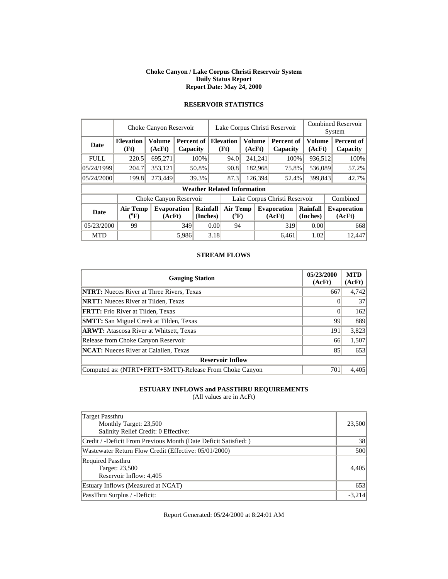#### **Choke Canyon / Lake Corpus Christi Reservoir System Daily Status Report Report Date: May 24, 2000**

|             | Choke Canyon Reservoir       |                         |       |                               |                               | Lake Corpus Christi Reservoir                       |         |         |                               |  |                      | <b>Combined Reservoir</b><br>System |                               |  |
|-------------|------------------------------|-------------------------|-------|-------------------------------|-------------------------------|-----------------------------------------------------|---------|---------|-------------------------------|--|----------------------|-------------------------------------|-------------------------------|--|
| Date        | <b>Elevation</b><br>(Ft)     | <b>Volume</b><br>(AcFt) |       | <b>Percent of</b><br>Capacity |                               | <b>Volume</b><br><b>Elevation</b><br>(Ft)<br>(AcFt) |         |         | <b>Percent of</b><br>Capacity |  | Volume<br>(AcFt)     |                                     | <b>Percent of</b><br>Capacity |  |
| <b>FULL</b> | 220.5                        | 695,271                 |       | 100%                          |                               | 94.0                                                |         | 241,241 | 100%                          |  | 936,512              |                                     | 100%                          |  |
| 05/24/1999  | 204.7                        | 353,121                 |       | 50.8%                         |                               | 90.8                                                |         | 182,968 | 75.8%                         |  | 536,089              |                                     | 57.2%                         |  |
| 05/24/2000  | 199.8                        | 273,449                 |       | 39.3%                         |                               | 87.3                                                | 126,394 |         | 52.4%                         |  | 399,843              |                                     | 42.7%                         |  |
|             |                              |                         |       |                               |                               | <b>Weather Related Information</b>                  |         |         |                               |  |                      |                                     |                               |  |
|             |                              | Choke Canyon Reservoir  |       |                               | Lake Corpus Christi Reservoir |                                                     |         |         |                               |  |                      |                                     | Combined                      |  |
| <b>Date</b> | <b>Air Temp</b><br>$(^{0}F)$ | Evaporation<br>(AcFt)   |       | Rainfall<br>(Inches)          |                               | <b>Air Temp</b><br>$(^{0}F)$                        |         |         | <b>Evaporation</b><br>(AcFt)  |  | Rainfall<br>(Inches) |                                     | <b>Evaporation</b><br>(AcFt)  |  |
| 05/23/2000  | 99                           |                         |       | 349<br>0.00                   |                               | 94                                                  |         |         | 319                           |  | 0.00                 |                                     | 668                           |  |
| <b>MTD</b>  |                              |                         | 5,986 |                               | 3.18                          |                                                     |         |         | 6.461                         |  | 1.02                 |                                     | 12.447                        |  |

# **RESERVOIR STATISTICS**

#### **STREAM FLOWS**

| <b>Gauging Station</b>                                  | 05/23/2000<br>(AcFt) | <b>MTD</b><br>(AcFt) |
|---------------------------------------------------------|----------------------|----------------------|
| <b>NTRT:</b> Nueces River at Three Rivers, Texas        | 667                  | 4,742                |
| <b>NRTT:</b> Nueces River at Tilden, Texas              |                      | 37                   |
| <b>FRTT:</b> Frio River at Tilden, Texas                | $\Omega$             | 162                  |
| <b>SMTT:</b> San Miguel Creek at Tilden, Texas          | 99                   | 889                  |
| <b>ARWT:</b> Atascosa River at Whitsett, Texas          | 191                  | 3,823                |
| Release from Choke Canyon Reservoir                     | 66                   | 1,507                |
| <b>NCAT:</b> Nueces River at Calallen, Texas            | 85                   | 653                  |
| <b>Reservoir Inflow</b>                                 |                      |                      |
| Computed as: (NTRT+FRTT+SMTT)-Release From Choke Canyon | 701                  | 4.405                |

### **ESTUARY INFLOWS and PASSTHRU REQUIREMENTS**

(All values are in AcFt)

| <b>Target Passthru</b><br>Monthly Target: 23,500<br>Salinity Relief Credit: 0 Effective: | 23,500   |
|------------------------------------------------------------------------------------------|----------|
| Credit / -Deficit From Previous Month (Date Deficit Satisfied:)                          | 38       |
| Wastewater Return Flow Credit (Effective: 05/01/2000)                                    | 500      |
| <b>Required Passthru</b><br>Target: 23,500<br>Reservoir Inflow: 4,405                    | 4.405    |
| Estuary Inflows (Measured at NCAT)                                                       | 653      |
| PassThru Surplus / -Deficit:                                                             | $-3.214$ |

Report Generated: 05/24/2000 at 8:24:01 AM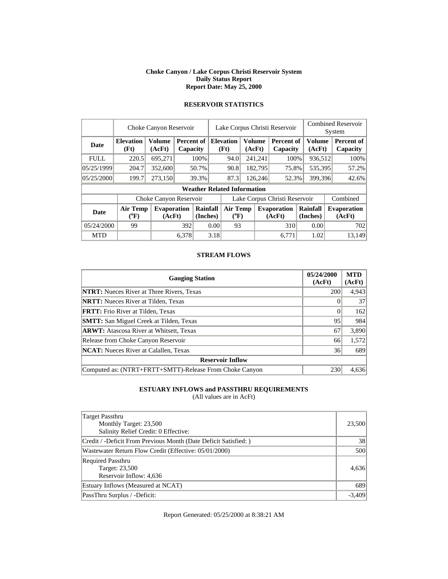#### **Choke Canyon / Lake Corpus Christi Reservoir System Daily Status Report Report Date: May 25, 2000**

|             | Choke Canyon Reservoir                | Lake Corpus Christi Reservoir |       |                        |                               |                                    |         |                         | System                        | <b>Combined Reservoir</b> |                  |          |                              |
|-------------|---------------------------------------|-------------------------------|-------|------------------------|-------------------------------|------------------------------------|---------|-------------------------|-------------------------------|---------------------------|------------------|----------|------------------------------|
| <b>Date</b> | <b>Elevation</b><br>(Ft)              | <b>Volume</b><br>(AcFt)       |       | Percent of<br>Capacity |                               | <b>Elevation</b><br>(Ft)           |         | <b>Volume</b><br>(AcFt) | <b>Percent of</b><br>Capacity |                           | Volume<br>(AcFt) |          | Percent of<br>Capacity       |
| <b>FULL</b> | 220.5                                 | 695,271                       |       | 100%                   |                               | 94.0                               |         | 241,241                 | 100%                          |                           | 936,512          |          | 100%                         |
| 05/25/1999  | 204.7                                 | 352,600                       |       | 50.7%                  |                               | 90.8                               |         | 182,795                 | 75.8%                         |                           | 535,395          |          | 57.2%                        |
| 05/25/2000  | 199.7                                 | 273,150                       |       | 39.3%                  |                               | 87.3                               | 126.246 |                         | 52.3%                         |                           | 399,396          |          | 42.6%                        |
|             |                                       |                               |       |                        |                               | <b>Weather Related Information</b> |         |                         |                               |                           |                  |          |                              |
|             |                                       | Choke Canyon Reservoir        |       |                        | Lake Corpus Christi Reservoir |                                    |         |                         |                               |                           |                  | Combined |                              |
| <b>Date</b> | <b>Air Temp</b><br>$({}^o\mathrm{F})$ | <b>Evaporation</b><br>(AcFt)  |       | Rainfall<br>(Inches)   |                               | <b>Air Temp</b><br>$(^{0}F)$       |         |                         | <b>Evaporation</b><br>(AcFt)  | Rainfall<br>(Inches)      |                  |          | <b>Evaporation</b><br>(AcFt) |
| 05/24/2000  | 99                                    |                               |       | 392<br>0.00            |                               | 93                                 |         |                         | 310                           |                           | 0.00             |          | 702                          |
| <b>MTD</b>  |                                       |                               | 6.378 |                        | 3.18                          |                                    |         |                         | 6.771                         |                           | 1.02             |          | 13.149                       |

# **RESERVOIR STATISTICS**

#### **STREAM FLOWS**

| <b>Gauging Station</b>                                  | 05/24/2000<br>(AcFt) | <b>MTD</b><br>(AcFt) |
|---------------------------------------------------------|----------------------|----------------------|
| <b>NTRT:</b> Nueces River at Three Rivers, Texas        | 200                  | 4,943                |
| <b>NRTT:</b> Nueces River at Tilden, Texas              |                      | 37                   |
| <b>FRTT:</b> Frio River at Tilden, Texas                | 0                    | 162                  |
| <b>SMTT:</b> San Miguel Creek at Tilden, Texas          | 95                   | 984                  |
| <b>ARWT:</b> Atascosa River at Whitsett, Texas          | 67                   | 3,890                |
| Release from Choke Canyon Reservoir                     | 66                   | 1,572                |
| <b>NCAT:</b> Nueces River at Calallen, Texas            | 36                   | 689                  |
| <b>Reservoir Inflow</b>                                 |                      |                      |
| Computed as: (NTRT+FRTT+SMTT)-Release From Choke Canyon | 230                  | 4.636                |

### **ESTUARY INFLOWS and PASSTHRU REQUIREMENTS**

(All values are in AcFt)

| Target Passthru<br>Monthly Target: 23,500<br>Salinity Relief Credit: 0 Effective: | 23,500   |
|-----------------------------------------------------------------------------------|----------|
| Credit / -Deficit From Previous Month (Date Deficit Satisfied: )                  | 38       |
| Wastewater Return Flow Credit (Effective: 05/01/2000)                             | 500      |
| <b>Required Passthru</b><br>Target: 23,500<br>Reservoir Inflow: 4,636             | 4,636    |
| Estuary Inflows (Measured at NCAT)                                                | 689      |
| PassThru Surplus / -Deficit:                                                      | $-3.409$ |

Report Generated: 05/25/2000 at 8:38:21 AM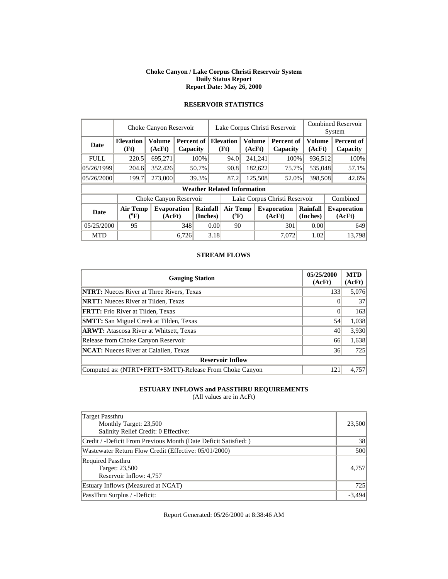#### **Choke Canyon / Lake Corpus Christi Reservoir System Daily Status Report Report Date: May 26, 2000**

|             | Choke Canyon Reservoir   | Lake Corpus Christi Reservoir |       |                        |                               |                                    |        |               | <b>Combined Reservoir</b><br>System |                      |                  |                              |
|-------------|--------------------------|-------------------------------|-------|------------------------|-------------------------------|------------------------------------|--------|---------------|-------------------------------------|----------------------|------------------|------------------------------|
| <b>Date</b> | <b>Elevation</b><br>(Ft) | <b>Volume</b><br>(AcFt)       |       | Percent of<br>Capacity |                               | <b>Elevation</b><br>(Ft)           | (AcFt) | <b>Volume</b> | Percent of<br>Capacity              |                      | Volume<br>(AcFt) | Percent of<br>Capacity       |
| <b>FULL</b> | 220.5                    | 695,271                       |       | 100%                   |                               | 94.0                               |        | 241,241       | 100%                                |                      | 936,512          | 100%                         |
| 05/26/1999  | 204.6                    | 352,426                       |       | 50.7%                  |                               | 90.8                               |        | 182,622       | 75.7%                               |                      | 535,048          | 57.1%                        |
| 05/26/2000  | 199.7                    | 273,000                       |       | 39.3%                  | 87.2                          |                                    |        | 125,508       | 52.0%                               |                      | 398,508          | 42.6%                        |
|             |                          |                               |       |                        |                               | <b>Weather Related Information</b> |        |               |                                     |                      |                  |                              |
|             |                          | Choke Canyon Reservoir        |       |                        | Lake Corpus Christi Reservoir |                                    |        |               |                                     |                      |                  | Combined                     |
| <b>Date</b> | Air Temp<br>$(^{0}F)$    | <b>Evaporation</b><br>(AcFt)  |       | Rainfall<br>(Inches)   |                               | <b>Air Temp</b><br>$(^{0}F)$       |        |               | <b>Evaporation</b><br>(AcFt)        | Rainfall<br>(Inches) |                  | <b>Evaporation</b><br>(AcFt) |
| 05/25/2000  | 95                       |                               | 348   | 0.00                   |                               | 90                                 |        |               | 301                                 |                      | 0.00             | 649                          |
| <b>MTD</b>  |                          |                               | 6.726 |                        | 3.18                          |                                    |        |               | 7.072                               |                      | 1.02             | 13.798                       |

# **RESERVOIR STATISTICS**

#### **STREAM FLOWS**

| <b>Gauging Station</b>                                  | 05/25/2000<br>(AcFt) | <b>MTD</b><br>(AcFt) |
|---------------------------------------------------------|----------------------|----------------------|
| <b>NTRT:</b> Nueces River at Three Rivers, Texas        | 133                  | 5,076                |
| <b>NRTT:</b> Nueces River at Tilden, Texas              |                      | 37                   |
| <b>FRTT:</b> Frio River at Tilden, Texas                | 0                    | 163                  |
| <b>SMTT:</b> San Miguel Creek at Tilden, Texas          | 54                   | 1,038                |
| <b>ARWT:</b> Atascosa River at Whitsett, Texas          | 40                   | 3,930                |
| Release from Choke Canyon Reservoir                     | 66                   | 1,638                |
| <b>NCAT:</b> Nueces River at Calallen, Texas            | 36                   | 725                  |
| <b>Reservoir Inflow</b>                                 |                      |                      |
| Computed as: (NTRT+FRTT+SMTT)-Release From Choke Canyon | 121                  | 4.757                |

### **ESTUARY INFLOWS and PASSTHRU REQUIREMENTS**

(All values are in AcFt)

| Target Passthru<br>Monthly Target: 23,500<br>Salinity Relief Credit: 0 Effective: | 23,500   |
|-----------------------------------------------------------------------------------|----------|
| Credit / -Deficit From Previous Month (Date Deficit Satisfied:)                   | 38       |
| Wastewater Return Flow Credit (Effective: 05/01/2000)                             | 500      |
| <b>Required Passthru</b><br>Target: 23,500<br>Reservoir Inflow: 4,757             | 4.757    |
| Estuary Inflows (Measured at NCAT)                                                | 725      |
| PassThru Surplus / -Deficit:                                                      | $-3.494$ |

Report Generated: 05/26/2000 at 8:38:46 AM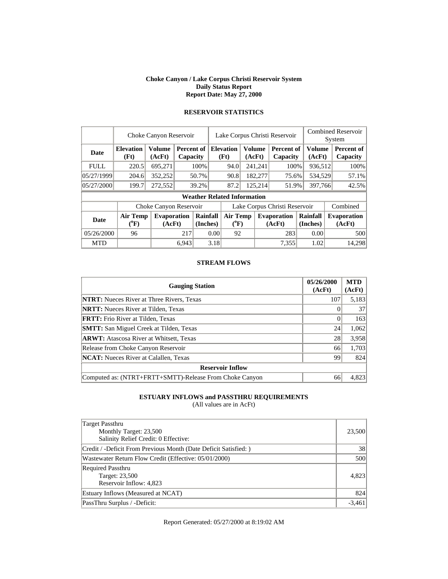#### **Choke Canyon / Lake Corpus Christi Reservoir System Daily Status Report Report Date: May 27, 2000**

|             | Choke Canyon Reservoir     | Lake Corpus Christi Reservoir |       |                        |                               |                                    |  | <b>Combined Reservoir</b><br>System |                              |                      |                        |  |                              |  |                        |
|-------------|----------------------------|-------------------------------|-------|------------------------|-------------------------------|------------------------------------|--|-------------------------------------|------------------------------|----------------------|------------------------|--|------------------------------|--|------------------------|
| Date        | <b>Elevation</b><br>(Ft)   | <b>Volume</b><br>(AcFt)       |       | Percent of<br>Capacity |                               |                                    |  | <b>Elevation</b><br>(Ft)            | <b>Volume</b><br>(AcFt)      |                      | Percent of<br>Capacity |  | <b>Volume</b><br>(AcFt)      |  | Percent of<br>Capacity |
| <b>FULL</b> | 220.5                      | 695.271                       |       | 100%                   |                               | 94.0                               |  | 241,241                             | 100%                         |                      | 936,512                |  | 100%                         |  |                        |
| 05/27/1999  | 204.6                      | 352,252                       |       | 50.7%                  |                               | 90.8                               |  | 182,277                             | 75.6%                        |                      | 534.529                |  | 57.1%                        |  |                        |
| 05/27/2000  | 199.7                      | 272,552                       |       | 39.2%                  |                               | 87.2                               |  | 125,214                             | 51.9%                        |                      | 397,766                |  | 42.5%                        |  |                        |
|             |                            |                               |       |                        |                               | <b>Weather Related Information</b> |  |                                     |                              |                      |                        |  |                              |  |                        |
|             |                            | Choke Canyon Reservoir        |       |                        | Lake Corpus Christi Reservoir |                                    |  |                                     |                              |                      |                        |  | Combined                     |  |                        |
| <b>Date</b> | <b>Air Temp</b><br>$(^0F)$ | <b>Evaporation</b><br>(AcFt)  |       | Rainfall<br>(Inches)   |                               | <b>Air Temp</b><br>$(^{0}F)$       |  |                                     | <b>Evaporation</b><br>(AcFt) | Rainfall<br>(Inches) |                        |  | <b>Evaporation</b><br>(AcFt) |  |                        |
| 05/26/2000  | 96                         |                               | 217   | 0.00                   |                               | 92                                 |  |                                     | 283                          |                      | 0.00                   |  | 500                          |  |                        |
| <b>MTD</b>  |                            |                               | 6.943 |                        | 3.18                          |                                    |  |                                     | 7,355                        |                      | 1.02                   |  | 14,298                       |  |                        |

### **RESERVOIR STATISTICS**

#### **STREAM FLOWS**

| <b>Gauging Station</b>                                  | 05/26/2000<br>(AcFt) | <b>MTD</b><br>(AcFt) |
|---------------------------------------------------------|----------------------|----------------------|
| <b>NTRT:</b> Nueces River at Three Rivers, Texas        | 107                  | 5,183                |
| <b>NRTT:</b> Nueces River at Tilden, Texas              |                      | 37                   |
| <b>FRTT:</b> Frio River at Tilden, Texas                |                      | 163                  |
| <b>SMTT:</b> San Miguel Creek at Tilden, Texas          | 24                   | 1,062                |
| <b>ARWT:</b> Atascosa River at Whitsett, Texas          | 28                   | 3.958                |
| Release from Choke Canyon Reservoir                     | 66                   | 1,703                |
| <b>NCAT:</b> Nueces River at Calallen, Texas            | 99                   | 824                  |
| <b>Reservoir Inflow</b>                                 |                      |                      |
| Computed as: (NTRT+FRTT+SMTT)-Release From Choke Canyon | 66                   | 4,823                |

### **ESTUARY INFLOWS and PASSTHRU REQUIREMENTS**

(All values are in AcFt)

| Target Passthru<br>Monthly Target: 23,500<br>Salinity Relief Credit: 0 Effective: | 23,500   |
|-----------------------------------------------------------------------------------|----------|
| Credit / -Deficit From Previous Month (Date Deficit Satisfied: )                  | 38       |
| Wastewater Return Flow Credit (Effective: 05/01/2000)                             | 500      |
| <b>Required Passthru</b><br>Target: 23,500<br>Reservoir Inflow: 4,823             | 4.823    |
| Estuary Inflows (Measured at NCAT)                                                | 824      |
| PassThru Surplus / -Deficit:                                                      | $-3,461$ |

Report Generated: 05/27/2000 at 8:19:02 AM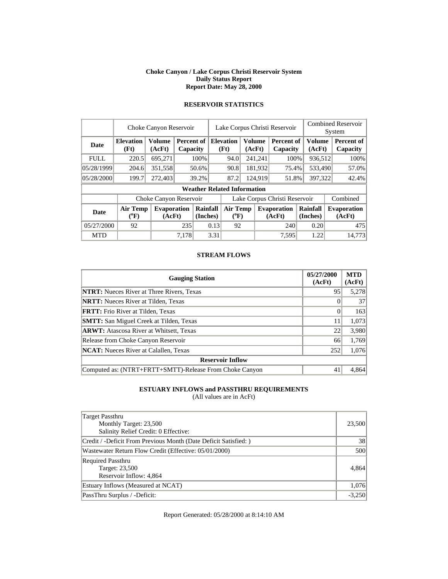#### **Choke Canyon / Lake Corpus Christi Reservoir System Daily Status Report Report Date: May 28, 2000**

|             | Choke Canyon Reservoir       |                              |       |                                    |                               | Lake Corpus Christi Reservoir |  |                          |                              |                      |                               | <b>Combined Reservoir</b><br>System |  |                        |
|-------------|------------------------------|------------------------------|-------|------------------------------------|-------------------------------|-------------------------------|--|--------------------------|------------------------------|----------------------|-------------------------------|-------------------------------------|--|------------------------|
| Date        | <b>Elevation</b><br>(Ft)     | Volume<br>(AcFt)             |       | Percent of<br>Capacity             |                               |                               |  | <b>Elevation</b><br>(Ft) | (AcFt)                       | <b>Volume</b>        | <b>Percent of</b><br>Capacity | <b>Volume</b><br>(AcFt)             |  | Percent of<br>Capacity |
| <b>FULL</b> | 220.5                        | 695,271                      |       | 100%                               |                               | 241,241<br>94.0               |  | 100%                     | 936,512                      |                      | 100%                          |                                     |  |                        |
| 05/28/1999  | 204.6                        | 351,558                      |       | 50.6%                              |                               | 181,932<br>90.8               |  |                          | 75.4%                        | 533.490              |                               | 57.0%                               |  |                        |
| 05/28/2000  | 199.7                        | 272,403                      |       | 39.2%                              | 87.2                          |                               |  | 124,919                  | 51.8%                        | 397,322              |                               | 42.4%                               |  |                        |
|             |                              |                              |       | <b>Weather Related Information</b> |                               |                               |  |                          |                              |                      |                               |                                     |  |                        |
|             |                              | Choke Canyon Reservoir       |       |                                    | Lake Corpus Christi Reservoir |                               |  |                          |                              |                      | Combined                      |                                     |  |                        |
| Date        | <b>Air Temp</b><br>$(^{0}F)$ | <b>Evaporation</b><br>(AcFt) |       | Rainfall<br>(Inches)               |                               | <b>Air Temp</b><br>$(^{0}F)$  |  |                          | <b>Evaporation</b><br>(AcFt) | Rainfall<br>(Inches) |                               | <b>Evaporation</b><br>(AcFt)        |  |                        |
| 05/27/2000  | 92                           |                              | 235   | 0.13                               |                               | 92                            |  |                          | 240                          | 0.20                 |                               | 475                                 |  |                        |
| <b>MTD</b>  |                              |                              | 7.178 |                                    | 3.31                          |                               |  |                          | 7.595                        | 1.22                 |                               | 14.773                              |  |                        |

# **RESERVOIR STATISTICS**

#### **STREAM FLOWS**

| <b>Gauging Station</b>                                  | 05/27/2000<br>(AcFt) | <b>MTD</b><br>(AcFt) |
|---------------------------------------------------------|----------------------|----------------------|
| <b>NTRT:</b> Nueces River at Three Rivers, Texas        | 95                   | 5,278                |
| <b>NRTT:</b> Nueces River at Tilden, Texas              |                      | 37                   |
| <b>FRTT:</b> Frio River at Tilden, Texas                | 0                    | 163                  |
| <b>SMTT:</b> San Miguel Creek at Tilden, Texas          |                      | 1,073                |
| <b>ARWT:</b> Atascosa River at Whitsett, Texas          | 22                   | 3,980                |
| Release from Choke Canyon Reservoir                     | 66                   | 1,769                |
| <b>NCAT:</b> Nueces River at Calallen, Texas            | 252                  | 1,076                |
| <b>Reservoir Inflow</b>                                 |                      |                      |
| Computed as: (NTRT+FRTT+SMTT)-Release From Choke Canyon | 41                   | 4,864                |

### **ESTUARY INFLOWS and PASSTHRU REQUIREMENTS**

(All values are in AcFt)

| Target Passthru<br>Monthly Target: 23,500<br>Salinity Relief Credit: 0 Effective: | 23,500   |
|-----------------------------------------------------------------------------------|----------|
| Credit / -Deficit From Previous Month (Date Deficit Satisfied:)                   | 38       |
| Wastewater Return Flow Credit (Effective: 05/01/2000)                             | 500      |
| <b>Required Passthru</b><br>Target: 23,500<br>Reservoir Inflow: 4,864             | 4.864    |
| Estuary Inflows (Measured at NCAT)                                                | 1,076    |
| PassThru Surplus / -Deficit:                                                      | $-3,250$ |

Report Generated: 05/28/2000 at 8:14:10 AM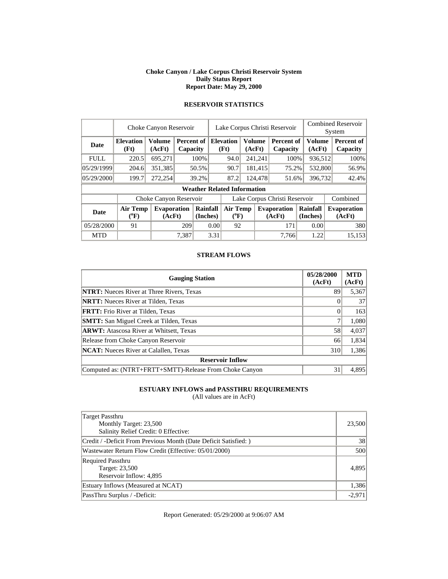#### **Choke Canyon / Lake Corpus Christi Reservoir System Daily Status Report Report Date: May 29, 2000**

|             | Choke Canyon Reservoir   |                              |                        |                      | Lake Corpus Christi Reservoir |                                    |                              |                  |                               |                      | <b>Combined Reservoir</b><br>System |                              |
|-------------|--------------------------|------------------------------|------------------------|----------------------|-------------------------------|------------------------------------|------------------------------|------------------|-------------------------------|----------------------|-------------------------------------|------------------------------|
| <b>Date</b> | <b>Elevation</b><br>(Ft) | <b>Volume</b><br>(AcFt)      | Percent of<br>Capacity |                      |                               | <b>Elevation</b><br>(Ft)           |                              | Volume<br>(AcFt) | <b>Percent of</b><br>Capacity |                      | Volume<br>(AcFt)                    | Percent of<br>Capacity       |
| <b>FULL</b> | 220.5                    | 695,271                      |                        | 100%                 |                               | 94.0                               |                              | 241,241          | 100%                          |                      | 936,512                             | 100%                         |
| 05/29/1999  | 204.6                    | 351,385                      | 50.5%                  |                      |                               | 90.7                               |                              | 181,415          | 75.2%                         |                      | 532,800                             | 56.9%                        |
| 05/29/2000  | 199.7                    | 272,254                      |                        | 39.2%                |                               | 87.2                               |                              | 124,478          |                               | 396,732<br>51.6%     |                                     | 42.4%                        |
|             |                          |                              |                        |                      |                               | <b>Weather Related Information</b> |                              |                  |                               |                      |                                     |                              |
|             | Choke Canyon Reservoir   |                              |                        |                      |                               | Lake Corpus Christi Reservoir      |                              |                  |                               |                      |                                     | Combined                     |
| <b>Date</b> | <b>Air Temp</b><br>(°F)  | <b>Evaporation</b><br>(AcFt) |                        | Rainfall<br>(Inches) |                               |                                    | <b>Air Temp</b><br>$(^{0}F)$ |                  | <b>Evaporation</b><br>(AcFt)  | Rainfall<br>(Inches) |                                     | <b>Evaporation</b><br>(AcFt) |
| 05/28/2000  | 91                       |                              | 209                    | 0.00                 |                               | 92                                 |                              |                  | 171                           | 0.00                 |                                     | 380                          |
| <b>MTD</b>  |                          |                              | 7.387                  |                      | 3.31                          |                                    |                              |                  | 7.766                         |                      | 1.22                                | 15.153                       |

# **RESERVOIR STATISTICS**

#### **STREAM FLOWS**

| <b>Gauging Station</b>                                  | 05/28/2000<br>(AcFt) | <b>MTD</b><br>(AcFt) |
|---------------------------------------------------------|----------------------|----------------------|
| <b>NTRT:</b> Nueces River at Three Rivers, Texas        | 89                   | 5,367                |
| <b>NRTT:</b> Nueces River at Tilden, Texas              |                      | 37                   |
| <b>FRTT:</b> Frio River at Tilden, Texas                | 0                    | 163                  |
| <b>SMTT:</b> San Miguel Creek at Tilden, Texas          |                      | 1,080                |
| <b>ARWT:</b> Atascosa River at Whitsett, Texas          | 58                   | 4,037                |
| Release from Choke Canyon Reservoir                     | 66                   | 1,834                |
| <b>NCAT:</b> Nueces River at Calallen, Texas            | 310                  | 1,386                |
| <b>Reservoir Inflow</b>                                 |                      |                      |
| Computed as: (NTRT+FRTT+SMTT)-Release From Choke Canyon | 31                   | 4.895                |

### **ESTUARY INFLOWS and PASSTHRU REQUIREMENTS**

(All values are in AcFt)

| Target Passthru<br>Monthly Target: 23,500<br>Salinity Relief Credit: 0 Effective: | 23,500   |
|-----------------------------------------------------------------------------------|----------|
| Credit / -Deficit From Previous Month (Date Deficit Satisfied: )                  | 38       |
| Wastewater Return Flow Credit (Effective: 05/01/2000)                             | 500      |
| <b>Required Passthru</b><br>Target: 23,500<br>Reservoir Inflow: 4,895             | 4.895    |
| Estuary Inflows (Measured at NCAT)                                                | 1,386    |
| PassThru Surplus / -Deficit:                                                      | $-2.971$ |

Report Generated: 05/29/2000 at 9:06:07 AM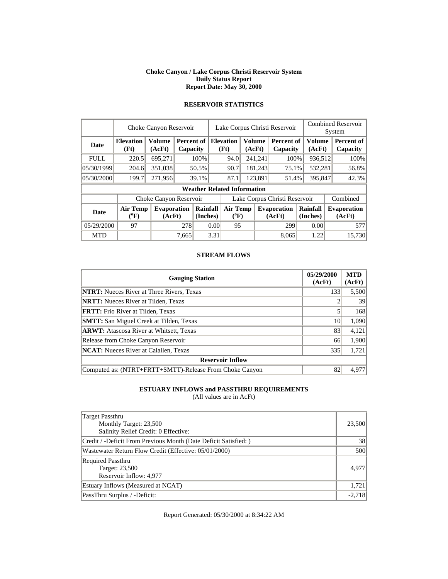#### **Choke Canyon / Lake Corpus Christi Reservoir System Daily Status Report Report Date: May 30, 2000**

|             |      | Choke Canyon Reservoir |                 |      | Lake Corpus Christi Reservoir | <b>Combined Reservoir</b><br>System                                                                 |        |          |
|-------------|------|------------------------|-----------------|------|-------------------------------|-----------------------------------------------------------------------------------------------------|--------|----------|
| <b>Date</b> | (Ft) | (AcFt)                 | <b>Capacity</b> | (Ft) | (AcFt)                        | Elevation   Volume   Percent of   Elevation   Volume   Percent of   Volume   Percent of<br>Capacity | (AcFt) | Capacity |

FULL 220.5 695,271 100% 94.0 241,241 100% 936,512 100%  $0.05/30/1999$   $204.6$   $351,038$   $50.5\%$   $90.7$   $181,243$   $75.1\%$   $532,281$   $56.8\%$ 05/30/2000 199.7 271,956 39.1% 87.1 123,891 51.4% 395,847 42.3% **Weather Related Information** 

Choke Canyon Reservoir | Lake Corpus Christi Reservoir | Combined

**( o F)** 

**Rainfall Air Temp Evaporation Rainfall** 

**(AcFt)** 

**(Inches)** 

**Evaporation (AcFt)** 

### **RESERVOIR STATISTICS**

| <b>STREAM FLOWS</b> |  |
|---------------------|--|
|                     |  |

05/29/2000 97 278 0.00 95 299 0.00 577 MTD | 7,665 3.31 | 8,065 1.22 15,730

**(Inches)** 

**Date Air Temp** 

**( o F)** 

**Evaporation (AcFt)** 

| <b>Gauging Station</b>                                  | 05/29/2000<br>(AcFt) | <b>MTD</b><br>(AcFt) |
|---------------------------------------------------------|----------------------|----------------------|
| <b>NTRT:</b> Nueces River at Three Rivers, Texas        | 133                  | 5,500                |
| <b>NRTT:</b> Nueces River at Tilden, Texas              |                      | 39                   |
| <b>FRTT:</b> Frio River at Tilden, Texas                |                      | 168                  |
| <b>SMTT:</b> San Miguel Creek at Tilden, Texas          | 10                   | 1,090                |
| <b>ARWT:</b> Atascosa River at Whitsett, Texas          | 83                   | 4,121                |
| Release from Choke Canyon Reservoir                     | 66                   | 1,900                |
| <b>NCAT:</b> Nueces River at Calallen, Texas            | 335                  | 1,721                |
| <b>Reservoir Inflow</b>                                 |                      |                      |
| Computed as: (NTRT+FRTT+SMTT)-Release From Choke Canyon | 82                   | 4,977                |

#### **ESTUARY INFLOWS and PASSTHRU REQUIREMENTS**

(All values are in AcFt)

| Target Passthru<br>Monthly Target: 23,500<br>Salinity Relief Credit: 0 Effective: | 23,500   |
|-----------------------------------------------------------------------------------|----------|
| Credit / -Deficit From Previous Month (Date Deficit Satisfied:)                   | 38       |
| Wastewater Return Flow Credit (Effective: 05/01/2000)                             | 500      |
| <b>Required Passthru</b><br>Target: 23,500<br>Reservoir Inflow: 4,977             | 4.977    |
| Estuary Inflows (Measured at NCAT)                                                | 1,721    |
| PassThru Surplus / -Deficit:                                                      | $-2,718$ |

Report Generated: 05/30/2000 at 8:34:22 AM